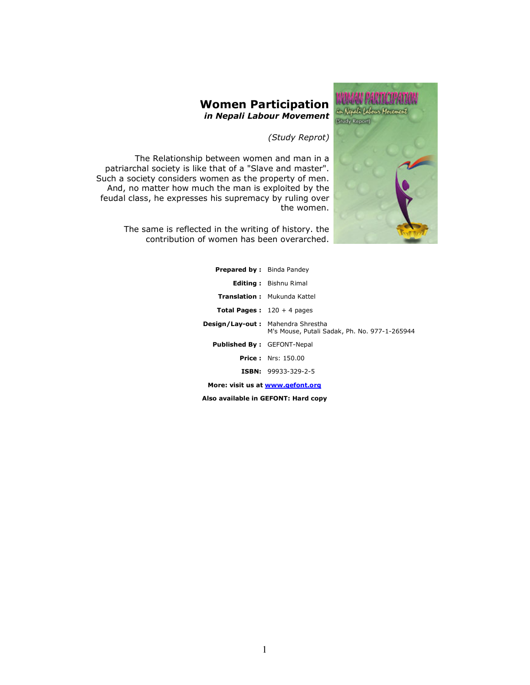

### Women Participation in Nepali Labour Movement

(Study Reprot)

The Relationship between women and man in a patriarchal society is like that of a "Slave and master". Such a society considers women as the property of men. And, no matter how much the man is exploited by the feudal class, he expresses his supremacy by ruling over the women.

> The same is reflected in the writing of history. the contribution of women has been overarched.

| <b>Prepared by:</b> Binda Pandey  |                                                                                           |  |  |  |
|-----------------------------------|-------------------------------------------------------------------------------------------|--|--|--|
|                                   | <b>Editing:</b> Bishnu Rimal                                                              |  |  |  |
|                                   | <b>Translation:</b> Mukunda Kattel                                                        |  |  |  |
|                                   | <b>Total Pages:</b> $120 + 4$ pages                                                       |  |  |  |
|                                   | <b>Design/Lay-out:</b> Mahendra Shrestha<br>M's Mouse, Putali Sadak, Ph. No. 977-1-265944 |  |  |  |
| <b>Published By: GEFONT-Nepal</b> |                                                                                           |  |  |  |
|                                   | <b>Price:</b> Nrs: 150.00                                                                 |  |  |  |
|                                   | <b>ISBN:</b> 99933-329-2-5                                                                |  |  |  |
| More: visit us at www.gefont.org  |                                                                                           |  |  |  |

Also available in GEFONT: Hard copy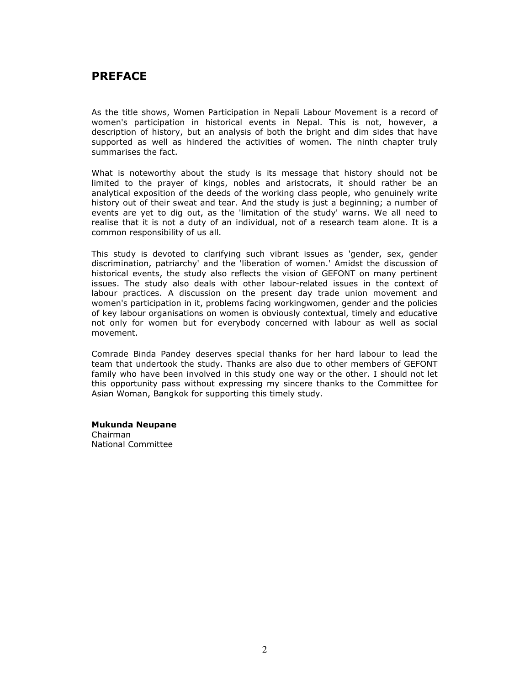# PREFACE

As the title shows, Women Participation in Nepali Labour Movement is a record of women's participation in historical events in Nepal. This is not, however, a description of history, but an analysis of both the bright and dim sides that have supported as well as hindered the activities of women. The ninth chapter truly summarises the fact.

What is noteworthy about the study is its message that history should not be limited to the prayer of kings, nobles and aristocrats, it should rather be an analytical exposition of the deeds of the working class people, who genuinely write history out of their sweat and tear. And the study is just a beginning; a number of events are yet to dig out, as the 'limitation of the study' warns. We all need to realise that it is not a duty of an individual, not of a research team alone. It is a common responsibility of us all.

This study is devoted to clarifying such vibrant issues as 'gender, sex, gender discrimination, patriarchy' and the 'liberation of women.' Amidst the discussion of historical events, the study also reflects the vision of GEFONT on many pertinent issues. The study also deals with other labour-related issues in the context of labour practices. A discussion on the present day trade union movement and women's participation in it, problems facing workingwomen, gender and the policies of key labour organisations on women is obviously contextual, timely and educative not only for women but for everybody concerned with labour as well as social movement.

Comrade Binda Pandey deserves special thanks for her hard labour to lead the team that undertook the study. Thanks are also due to other members of GEFONT family who have been involved in this study one way or the other. I should not let this opportunity pass without expressing my sincere thanks to the Committee for Asian Woman, Bangkok for supporting this timely study.

#### Mukunda Neupane

Chairman National Committee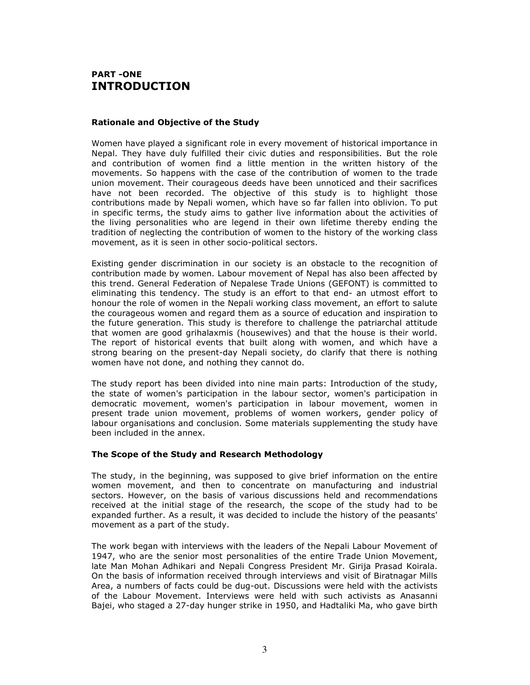## PART -ONE INTRODUCTION

#### Rationale and Objective of the Study

Women have played a significant role in every movement of historical importance in Nepal. They have duly fulfilled their civic duties and responsibilities. But the role and contribution of women find a little mention in the written history of the movements. So happens with the case of the contribution of women to the trade union movement. Their courageous deeds have been unnoticed and their sacrifices have not been recorded. The objective of this study is to highlight those contributions made by Nepali women, which have so far fallen into oblivion. To put in specific terms, the study aims to gather live information about the activities of the living personalities who are legend in their own lifetime thereby ending the tradition of neglecting the contribution of women to the history of the working class movement, as it is seen in other socio-political sectors.

Existing gender discrimination in our society is an obstacle to the recognition of contribution made by women. Labour movement of Nepal has also been affected by this trend. General Federation of Nepalese Trade Unions (GEFONT) is committed to eliminating this tendency. The study is an effort to that end- an utmost effort to honour the role of women in the Nepali working class movement, an effort to salute the courageous women and regard them as a source of education and inspiration to the future generation. This study is therefore to challenge the patriarchal attitude that women are good grihalaxmis (housewives) and that the house is their world. The report of historical events that built along with women, and which have a strong bearing on the present-day Nepali society, do clarify that there is nothing women have not done, and nothing they cannot do.

The study report has been divided into nine main parts: Introduction of the study, the state of women's participation in the labour sector, women's participation in democratic movement, women's participation in labour movement, women in present trade union movement, problems of women workers, gender policy of labour organisations and conclusion. Some materials supplementing the study have been included in the annex.

#### The Scope of the Study and Research Methodology

The study, in the beginning, was supposed to give brief information on the entire women movement, and then to concentrate on manufacturing and industrial sectors. However, on the basis of various discussions held and recommendations received at the initial stage of the research, the scope of the study had to be expanded further. As a result, it was decided to include the history of the peasants' movement as a part of the study.

The work began with interviews with the leaders of the Nepali Labour Movement of 1947, who are the senior most personalities of the entire Trade Union Movement, late Man Mohan Adhikari and Nepali Congress President Mr. Girija Prasad Koirala. On the basis of information received through interviews and visit of Biratnagar Mills Area, a numbers of facts could be dug-out. Discussions were held with the activists of the Labour Movement. Interviews were held with such activists as Anasanni Bajei, who staged a 27-day hunger strike in 1950, and Hadtaliki Ma, who gave birth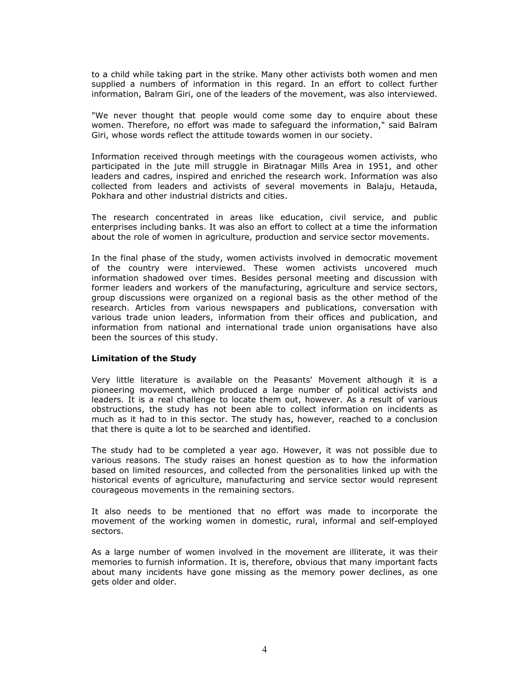to a child while taking part in the strike. Many other activists both women and men supplied a numbers of information in this regard. In an effort to collect further information, Balram Giri, one of the leaders of the movement, was also interviewed.

"We never thought that people would come some day to enquire about these women. Therefore, no effort was made to safeguard the information," said Balram Giri, whose words reflect the attitude towards women in our society.

Information received through meetings with the courageous women activists, who participated in the jute mill struggle in Biratnagar Mills Area in 1951, and other leaders and cadres, inspired and enriched the research work. Information was also collected from leaders and activists of several movements in Balaju, Hetauda, Pokhara and other industrial districts and cities.

The research concentrated in areas like education, civil service, and public enterprises including banks. It was also an effort to collect at a time the information about the role of women in agriculture, production and service sector movements.

In the final phase of the study, women activists involved in democratic movement of the country were interviewed. These women activists uncovered much information shadowed over times. Besides personal meeting and discussion with former leaders and workers of the manufacturing, agriculture and service sectors, group discussions were organized on a regional basis as the other method of the research. Articles from various newspapers and publications, conversation with various trade union leaders, information from their offices and publication, and information from national and international trade union organisations have also been the sources of this study.

#### Limitation of the Study

Very little literature is available on the Peasants' Movement although it is a pioneering movement, which produced a large number of political activists and leaders. It is a real challenge to locate them out, however. As a result of various obstructions, the study has not been able to collect information on incidents as much as it had to in this sector. The study has, however, reached to a conclusion that there is quite a lot to be searched and identified.

The study had to be completed a year ago. However, it was not possible due to various reasons. The study raises an honest question as to how the information based on limited resources, and collected from the personalities linked up with the historical events of agriculture, manufacturing and service sector would represent courageous movements in the remaining sectors.

It also needs to be mentioned that no effort was made to incorporate the movement of the working women in domestic, rural, informal and self-employed sectors.

As a large number of women involved in the movement are illiterate, it was their memories to furnish information. It is, therefore, obvious that many important facts about many incidents have gone missing as the memory power declines, as one gets older and older.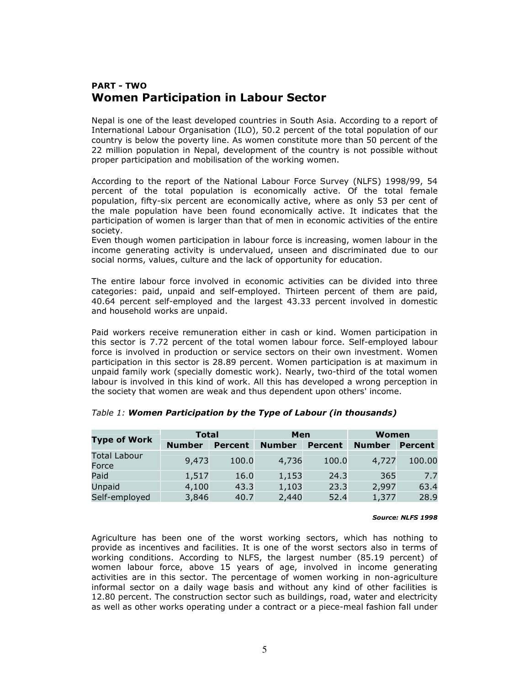# PART - TWO Women Participation in Labour Sector

Nepal is one of the least developed countries in South Asia. According to a report of International Labour Organisation (ILO), 50.2 percent of the total population of our country is below the poverty line. As women constitute more than 50 percent of the 22 million population in Nepal, development of the country is not possible without proper participation and mobilisation of the working women.

According to the report of the National Labour Force Survey (NLFS) 1998/99, 54 percent of the total population is economically active. Of the total female population, fifty-six percent are economically active, where as only 53 per cent of the male population have been found economically active. It indicates that the participation of women is larger than that of men in economic activities of the entire society.

Even though women participation in labour force is increasing, women labour in the income generating activity is undervalued, unseen and discriminated due to our social norms, values, culture and the lack of opportunity for education.

The entire labour force involved in economic activities can be divided into three categories: paid, unpaid and self-employed. Thirteen percent of them are paid, 40.64 percent self-employed and the largest 43.33 percent involved in domestic and household works are unpaid.

Paid workers receive remuneration either in cash or kind. Women participation in this sector is 7.72 percent of the total women labour force. Self-employed labour force is involved in production or service sectors on their own investment. Women participation in this sector is 28.89 percent. Women participation is at maximum in unpaid family work (specially domestic work). Nearly, two-third of the total women labour is involved in this kind of work. All this has developed a wrong perception in the society that women are weak and thus dependent upon others' income.

| <b>Total</b>          |               |                | Men           |                | Women         |                |  |
|-----------------------|---------------|----------------|---------------|----------------|---------------|----------------|--|
| <b>Type of Work</b>   | <b>Number</b> | <b>Percent</b> | <b>Number</b> | <b>Percent</b> | <b>Number</b> | <b>Percent</b> |  |
| Total Labour<br>Force | 9,473         | 100.0          | 4,736         | 100.0          | 4,727         | 100.00         |  |
| Paid                  | 1,517         | 16.0           | 1,153         | 24.3           | 365           | 7.7            |  |
| Unpaid                | 4,100         | 43.3           | 1,103         | 23.3           | 2,997         | 63.4           |  |
| Self-employed         | 3,846         | 40.7           | 2,440         | 52.4           | 1,377         | 28.9           |  |

### Table 1: Women Participation by the Type of Labour (in thousands)

#### Source: NLFS 1998

Agriculture has been one of the worst working sectors, which has nothing to provide as incentives and facilities. It is one of the worst sectors also in terms of working conditions. According to NLFS, the largest number (85.19 percent) of women labour force, above 15 years of age, involved in income generating activities are in this sector. The percentage of women working in non-agriculture informal sector on a daily wage basis and without any kind of other facilities is 12.80 percent. The construction sector such as buildings, road, water and electricity as well as other works operating under a contract or a piece-meal fashion fall under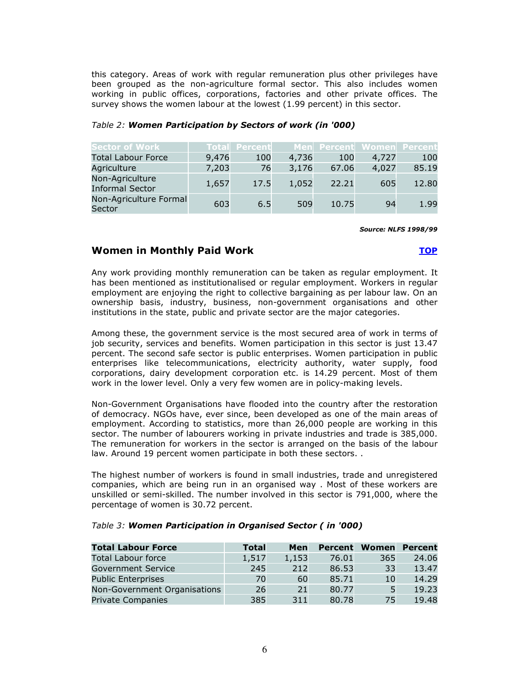this category. Areas of work with regular remuneration plus other privileges have been grouped as the non-agriculture formal sector. This also includes women working in public offices, corporations, factories and other private offices. The survey shows the women labour at the lowest (1.99 percent) in this sector.

| <b>Sector of Work</b>                     |       | <b>Total Percent</b> |       |       |       | Men Percent Women Percent |
|-------------------------------------------|-------|----------------------|-------|-------|-------|---------------------------|
| <b>Total Labour Force</b>                 | 9,476 | 100                  | 4,736 | 100   | 4,727 | 100                       |
| Agriculture                               | 7,203 | 76                   | 3,176 | 67.06 | 4,027 | 85.19                     |
| Non-Agriculture<br><b>Informal Sector</b> | 1,657 | 17.5                 | 1,052 | 22.21 | 605   | 12.80                     |
| Non-Agriculture Formal<br>Sector          | 603   | 6.5                  | 509   | 10.75 | 94    | 1.99                      |

#### Table 2: Women Participation by Sectors of work (in '000)

Source: NLFS 1998/99

### Women in Monthly Paid Work  $\qquad \qquad \overline{\textbf{LOP}}$

Any work providing monthly remuneration can be taken as regular employment. It has been mentioned as institutionalised or regular employment. Workers in regular employment are enjoying the right to collective bargaining as per labour law. On an ownership basis, industry, business, non-government organisations and other institutions in the state, public and private sector are the major categories.

Among these, the government service is the most secured area of work in terms of job security, services and benefits. Women participation in this sector is just 13.47 percent. The second safe sector is public enterprises. Women participation in public enterprises like telecommunications, electricity authority, water supply, food corporations, dairy development corporation etc. is 14.29 percent. Most of them work in the lower level. Only a very few women are in policy-making levels.

Non-Government Organisations have flooded into the country after the restoration of democracy. NGOs have, ever since, been developed as one of the main areas of employment. According to statistics, more than 26,000 people are working in this sector. The number of labourers working in private industries and trade is 385,000. The remuneration for workers in the sector is arranged on the basis of the labour law. Around 19 percent women participate in both these sectors. .

The highest number of workers is found in small industries, trade and unregistered companies, which are being run in an organised way . Most of these workers are unskilled or semi-skilled. The number involved in this sector is 791,000, where the percentage of women is 30.72 percent.

| <b>Total Labour Force</b>    | <b>Total</b> | Men   | Percent |     | <b>Women Percent</b> |
|------------------------------|--------------|-------|---------|-----|----------------------|
| <b>Total Labour force</b>    | 1,517        | 1,153 | 76.01   | 365 | 24.06                |
| <b>Government Service</b>    | 245          | 212   | 86.53   | 33  | 13.47                |
| <b>Public Enterprises</b>    | 70           | 60    | 85.71   | 10  | 14.29                |
| Non-Government Organisations | 26           | 21    | 80.77   |     | 19.23                |
| Private Companies            | 385          | 311   | 80.78   | 75  | 19.48                |

#### Table 3: Women Participation in Organised Sector ( in '000)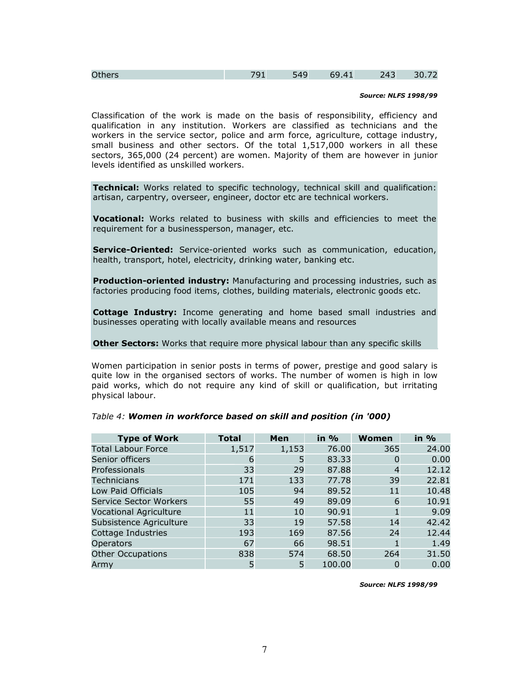| <b>Others</b> | 10 <sup>7</sup> | AC<br>- 145<br>. . | . . | 743<br>'د +∠ | 30 |
|---------------|-----------------|--------------------|-----|--------------|----|
|---------------|-----------------|--------------------|-----|--------------|----|

#### Source: NLFS 1998/99

Classification of the work is made on the basis of responsibility, efficiency and qualification in any institution. Workers are classified as technicians and the workers in the service sector, police and arm force, agriculture, cottage industry, small business and other sectors. Of the total 1,517,000 workers in all these sectors, 365,000 (24 percent) are women. Majority of them are however in junior levels identified as unskilled workers.

Technical: Works related to specific technology, technical skill and qualification: artisan, carpentry, overseer, engineer, doctor etc are technical workers.

Vocational: Works related to business with skills and efficiencies to meet the requirement for a businessperson, manager, etc.

Service-Oriented: Service-oriented works such as communication, education, health, transport, hotel, electricity, drinking water, banking etc.

Production-oriented industry: Manufacturing and processing industries, such as factories producing food items, clothes, building materials, electronic goods etc.

**Cottage Industry:** Income generating and home based small industries and businesses operating with locally available means and resources

#### Other Sectors: Works that require more physical labour than any specific skills

Women participation in senior posts in terms of power, prestige and good salary is quite low in the organised sectors of works. The number of women is high in low paid works, which do not require any kind of skill or qualification, but irritating physical labour.

| <b>Type of Work</b>           | <b>Total</b> | Men   | in $\%$ | Women | in $%$ |
|-------------------------------|--------------|-------|---------|-------|--------|
| <b>Total Labour Force</b>     | 1,517        | 1,153 | 76.00   | 365   | 24.00  |
| Senior officers               | 6            | 5     | 83.33   |       | 0.00   |
| Professionals                 | 33           | 29    | 87.88   | 4     | 12.12  |
| <b>Technicians</b>            | 171          | 133   | 77.78   | 39    | 22.81  |
| Low Paid Officials            | 105          | 94    | 89.52   | 11    | 10.48  |
| <b>Service Sector Workers</b> | 55           | 49    | 89.09   | 6     | 10.91  |
| <b>Vocational Agriculture</b> | 11           | 10    | 90.91   |       | 9.09   |
| Subsistence Agriculture       | 33           | 19    | 57.58   | 14    | 42.42  |
| Cottage Industries            | 193          | 169   | 87.56   | 24    | 12.44  |
| <b>Operators</b>              | 67           | 66    | 98.51   |       | 1.49   |
| <b>Other Occupations</b>      | 838          | 574   | 68.50   | 264   | 31.50  |
| Armv                          | 5            |       | 100.00  |       | 0.00   |

#### Table 4: Women in workforce based on skill and position (in '000)

Source: NLFS 1998/99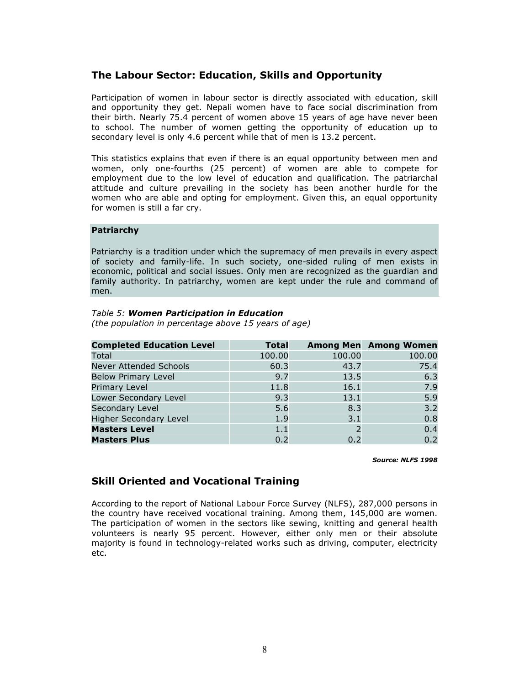### The Labour Sector: Education, Skills and Opportunity

Participation of women in labour sector is directly associated with education, skill and opportunity they get. Nepali women have to face social discrimination from their birth. Nearly 75.4 percent of women above 15 years of age have never been to school. The number of women getting the opportunity of education up to secondary level is only 4.6 percent while that of men is 13.2 percent.

This statistics explains that even if there is an equal opportunity between men and women, only one-fourths (25 percent) of women are able to compete for employment due to the low level of education and qualification. The patriarchal attitude and culture prevailing in the society has been another hurdle for the women who are able and opting for employment. Given this, an equal opportunity for women is still a far cry.

#### Patriarchy

Patriarchy is a tradition under which the supremacy of men prevails in every aspect of society and family-life. In such society, one-sided ruling of men exists in economic, political and social issues. Only men are recognized as the guardian and family authority. In patriarchy, women are kept under the rule and command of men.

#### Table 5: Women Participation in Education

(the population in percentage above 15 years of age)

| <b>Completed Education Level</b> | <b>Total</b> |        | <b>Among Men</b> Among Women |
|----------------------------------|--------------|--------|------------------------------|
| Total                            | 100.00       | 100.00 | 100.00                       |
| <b>Never Attended Schools</b>    | 60.3         | 43.7   | 75.4                         |
| <b>Below Primary Level</b>       | 9.7          | 13.5   | 6.3                          |
| <b>Primary Level</b>             | 11.8         | 16.1   | 7.9                          |
| Lower Secondary Level            | 9.3          | 13.1   | 5.9                          |
| Secondary Level                  | 5.6          | 8.3    | 3.2                          |
| <b>Higher Secondary Level</b>    | 1.9          | 3.1    | 0.8                          |
| <b>Masters Level</b>             | 1.1          |        | 0.4                          |
| <b>Masters Plus</b>              | 0.2          | 0.2    | 0.2                          |

#### Source: NLFS 1998

### Skill Oriented and Vocational Training

According to the report of National Labour Force Survey (NLFS), 287,000 persons in the country have received vocational training. Among them, 145,000 are women. The participation of women in the sectors like sewing, knitting and general health volunteers is nearly 95 percent. However, either only men or their absolute majority is found in technology-related works such as driving, computer, electricity etc.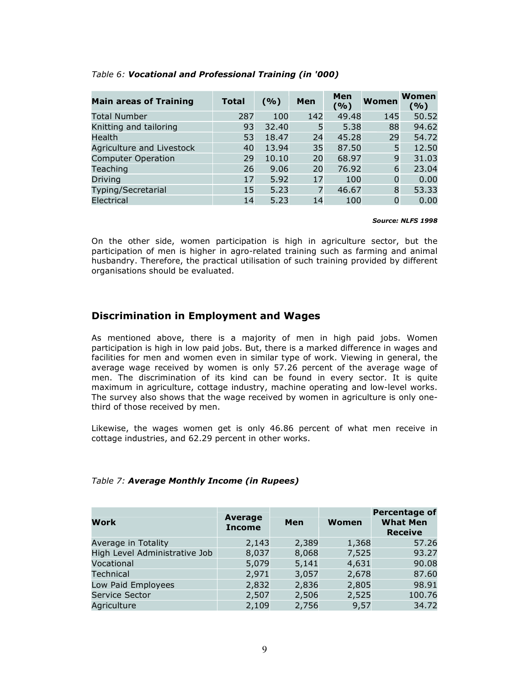| <b>Main areas of Training</b> | <b>Total</b> | (9/6) | Men | Men<br>(%) | Women    | <b>Women</b><br>(%) |
|-------------------------------|--------------|-------|-----|------------|----------|---------------------|
| <b>Total Number</b>           | 287          | 100   | 142 | 49.48      | 145      | 50.52               |
| Knitting and tailoring        | 93           | 32.40 | 5   | 5.38       | 88       | 94.62               |
| Health                        | 53           | 18.47 | 24  | 45.28      | 29       | 54.72               |
| Agriculture and Livestock     | 40           | 13.94 | 35  | 87.50      | 5        | 12.50               |
| <b>Computer Operation</b>     | 29           | 10.10 | 20  | 68.97      | 9        | 31.03               |
| Teaching                      | 26           | 9.06  | 20  | 76.92      | 6        | 23.04               |
| Driving                       | 17           | 5.92  | 17  | 100        | $\Omega$ | 0.00                |
| Typing/Secretarial            | 15           | 5.23  | 7   | 46.67      | 8        | 53.33               |
| Electrical                    | 14           | 5.23  | 14  | 100        | $\Omega$ | 0.00                |

#### Table 6: Vocational and Professional Training (in '000)

#### Source: NLFS 1998

On the other side, women participation is high in agriculture sector, but the participation of men is higher in agro-related training such as farming and animal husbandry. Therefore, the practical utilisation of such training provided by different organisations should be evaluated.

### Discrimination in Employment and Wages

As mentioned above, there is a majority of men in high paid jobs. Women participation is high in low paid jobs. But, there is a marked difference in wages and facilities for men and women even in similar type of work. Viewing in general, the average wage received by women is only 57.26 percent of the average wage of men. The discrimination of its kind can be found in every sector. It is quite maximum in agriculture, cottage industry, machine operating and low-level works. The survey also shows that the wage received by women in agriculture is only onethird of those received by men.

Likewise, the wages women get is only 46.86 percent of what men receive in cottage industries, and 62.29 percent in other works.

| Work                          | <b>Average</b><br><b>Income</b> | Men   | Women | <b>Percentage of</b><br><b>What Men</b><br><b>Receive</b> |
|-------------------------------|---------------------------------|-------|-------|-----------------------------------------------------------|
| Average in Totality           | 2,143                           | 2,389 | 1,368 | 57.26                                                     |
| High Level Administrative Job | 8,037                           | 8,068 | 7,525 | 93.27                                                     |
| Vocational                    | 5,079                           | 5,141 | 4,631 | 90.08                                                     |
| <b>Technical</b>              | 2,971                           | 3,057 | 2,678 | 87.60                                                     |
| Low Paid Employees            | 2,832                           | 2,836 | 2,805 | 98.91                                                     |
| Service Sector                | 2,507                           | 2,506 | 2,525 | 100.76                                                    |
| Agriculture                   | 2,109                           | 2,756 | 9,57  | 34.72                                                     |

# Table 7: Average Monthly Income (in Rupees)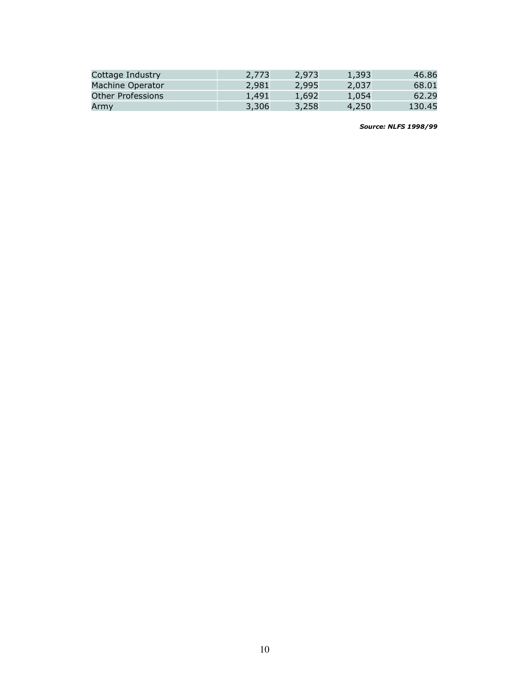| Cottage Industry  | 2,773 | 2.973 | 1,393 | 46.86  |
|-------------------|-------|-------|-------|--------|
| Machine Operator  | 2,981 | 2.995 | 2,037 | 68.01  |
| Other Professions | 1.491 | 1.692 | 1,054 |        |
| Army              | 3,306 | 3.258 | 4,250 | 130.45 |

Source: NLFS 1998/99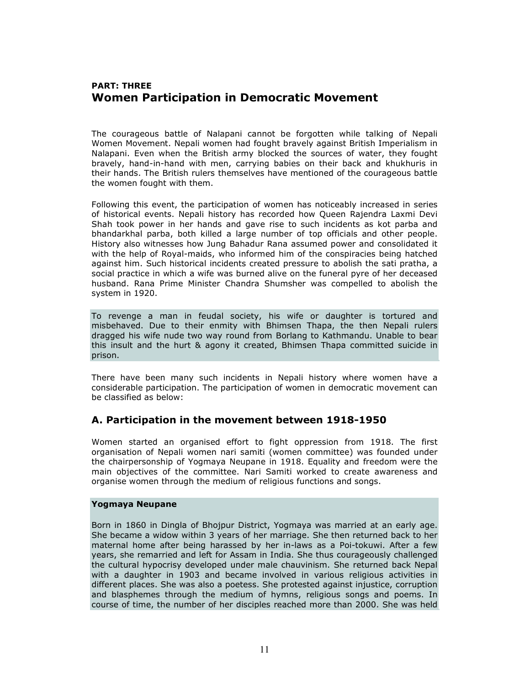# PART: THREE Women Participation in Democratic Movement

The courageous battle of Nalapani cannot be forgotten while talking of Nepali Women Movement. Nepali women had fought bravely against British Imperialism in Nalapani. Even when the British army blocked the sources of water, they fought bravely, hand-in-hand with men, carrying babies on their back and khukhuris in their hands. The British rulers themselves have mentioned of the courageous battle the women fought with them.

Following this event, the participation of women has noticeably increased in series of historical events. Nepali history has recorded how Queen Rajendra Laxmi Devi Shah took power in her hands and gave rise to such incidents as kot parba and bhandarkhal parba, both killed a large number of top officials and other people. History also witnesses how Jung Bahadur Rana assumed power and consolidated it with the help of Royal-maids, who informed him of the conspiracies being hatched against him. Such historical incidents created pressure to abolish the sati pratha, a social practice in which a wife was burned alive on the funeral pyre of her deceased husband. Rana Prime Minister Chandra Shumsher was compelled to abolish the system in 1920.

To revenge a man in feudal society, his wife or daughter is tortured and misbehaved. Due to their enmity with Bhimsen Thapa, the then Nepali rulers dragged his wife nude two way round from Borlang to Kathmandu. Unable to bear this insult and the hurt & agony it created, Bhimsen Thapa committed suicide in prison.

There have been many such incidents in Nepali history where women have a considerable participation. The participation of women in democratic movement can be classified as below:

### A. Participation in the movement between 1918-1950

Women started an organised effort to fight oppression from 1918. The first organisation of Nepali women nari samiti (women committee) was founded under the chairpersonship of Yogmaya Neupane in 1918. Equality and freedom were the main objectives of the committee. Nari Samiti worked to create awareness and organise women through the medium of religious functions and songs.

#### Yogmaya Neupane

Born in 1860 in Dingla of Bhojpur District, Yogmaya was married at an early age. She became a widow within 3 years of her marriage. She then returned back to her maternal home after being harassed by her in-laws as a Poi-tokuwi. After a few years, she remarried and left for Assam in India. She thus courageously challenged the cultural hypocrisy developed under male chauvinism. She returned back Nepal with a daughter in 1903 and became involved in various religious activities in different places. She was also a poetess. She protested against injustice, corruption and blasphemes through the medium of hymns, religious songs and poems. In course of time, the number of her disciples reached more than 2000. She was held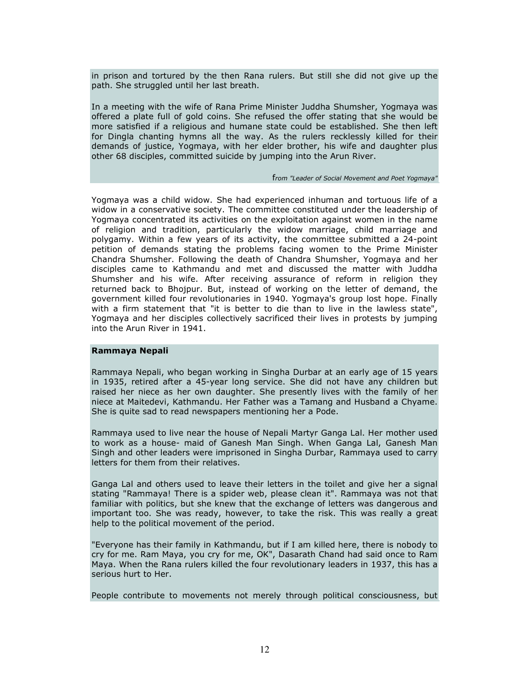in prison and tortured by the then Rana rulers. But still she did not give up the path. She struggled until her last breath.

In a meeting with the wife of Rana Prime Minister Juddha Shumsher, Yogmaya was offered a plate full of gold coins. She refused the offer stating that she would be more satisfied if a religious and humane state could be established. She then left for Dingla chanting hymns all the way. As the rulers recklessly killed for their demands of justice, Yogmaya, with her elder brother, his wife and daughter plus other 68 disciples, committed suicide by jumping into the Arun River.

#### from "Leader of Social Movement and Poet Yogmaya"

Yogmaya was a child widow. She had experienced inhuman and tortuous life of a widow in a conservative society. The committee constituted under the leadership of Yogmaya concentrated its activities on the exploitation against women in the name of religion and tradition, particularly the widow marriage, child marriage and polygamy. Within a few years of its activity, the committee submitted a 24-point petition of demands stating the problems facing women to the Prime Minister Chandra Shumsher. Following the death of Chandra Shumsher, Yogmaya and her disciples came to Kathmandu and met and discussed the matter with Juddha Shumsher and his wife. After receiving assurance of reform in religion they returned back to Bhojpur. But, instead of working on the letter of demand, the government killed four revolutionaries in 1940. Yogmaya's group lost hope. Finally with a firm statement that "it is better to die than to live in the lawless state", Yogmaya and her disciples collectively sacrificed their lives in protests by jumping into the Arun River in 1941.

#### Rammaya Nepali

Rammaya Nepali, who began working in Singha Durbar at an early age of 15 years in 1935, retired after a 45-year long service. She did not have any children but raised her niece as her own daughter. She presently lives with the family of her niece at Maitedevi, Kathmandu. Her Father was a Tamang and Husband a Chyame. She is quite sad to read newspapers mentioning her a Pode.

Rammaya used to live near the house of Nepali Martyr Ganga Lal. Her mother used to work as a house- maid of Ganesh Man Singh. When Ganga Lal, Ganesh Man Singh and other leaders were imprisoned in Singha Durbar, Rammaya used to carry letters for them from their relatives.

Ganga Lal and others used to leave their letters in the toilet and give her a signal stating "Rammaya! There is a spider web, please clean it". Rammaya was not that familiar with politics, but she knew that the exchange of letters was dangerous and important too. She was ready, however, to take the risk. This was really a great help to the political movement of the period.

"Everyone has their family in Kathmandu, but if I am killed here, there is nobody to cry for me. Ram Maya, you cry for me, OK", Dasarath Chand had said once to Ram Maya. When the Rana rulers killed the four revolutionary leaders in 1937, this has a serious hurt to Her.

People contribute to movements not merely through political consciousness, but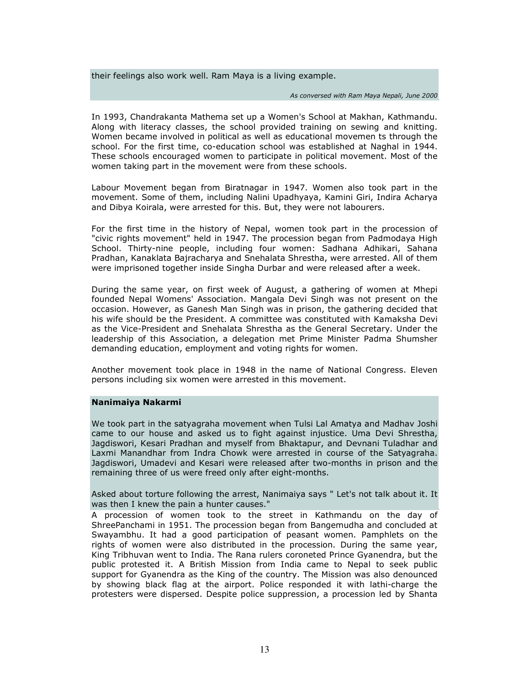their feelings also work well. Ram Maya is a living example.

#### As conversed with Ram Maya Nepali, June 2000

In 1993, Chandrakanta Mathema set up a Women's School at Makhan, Kathmandu. Along with literacy classes, the school provided training on sewing and knitting. Women became involved in political as well as educational movemen ts through the school. For the first time, co-education school was established at Naghal in 1944. These schools encouraged women to participate in political movement. Most of the women taking part in the movement were from these schools.

Labour Movement began from Biratnagar in 1947. Women also took part in the movement. Some of them, including Nalini Upadhyaya, Kamini Giri, Indira Acharya and Dibya Koirala, were arrested for this. But, they were not labourers.

For the first time in the history of Nepal, women took part in the procession of "civic rights movement" held in 1947. The procession began from Padmodaya High School. Thirty-nine people, including four women: Sadhana Adhikari, Sahana Pradhan, Kanaklata Bajracharya and Snehalata Shrestha, were arrested. All of them were imprisoned together inside Singha Durbar and were released after a week.

During the same year, on first week of August, a gathering of women at Mhepi founded Nepal Womens' Association. Mangala Devi Singh was not present on the occasion. However, as Ganesh Man Singh was in prison, the gathering decided that his wife should be the President. A committee was constituted with Kamaksha Devi as the Vice-President and Snehalata Shrestha as the General Secretary. Under the leadership of this Association, a delegation met Prime Minister Padma Shumsher demanding education, employment and voting rights for women.

Another movement took place in 1948 in the name of National Congress. Eleven persons including six women were arrested in this movement.

#### Nanimaiya Nakarmi

We took part in the satyagraha movement when Tulsi Lal Amatya and Madhav Joshi came to our house and asked us to fight against injustice. Uma Devi Shrestha, Jagdiswori, Kesari Pradhan and myself from Bhaktapur, and Devnani Tuladhar and Laxmi Manandhar from Indra Chowk were arrested in course of the Satyagraha. Jagdiswori, Umadevi and Kesari were released after two-months in prison and the remaining three of us were freed only after eight-months.

Asked about torture following the arrest, Nanimaiya says " Let's not talk about it. It was then I knew the pain a hunter causes."

A procession of women took to the street in Kathmandu on the day of ShreePanchami in 1951. The procession began from Bangemudha and concluded at Swayambhu. It had a good participation of peasant women. Pamphlets on the rights of women were also distributed in the procession. During the same year, King Tribhuvan went to India. The Rana rulers coroneted Prince Gyanendra, but the public protested it. A British Mission from India came to Nepal to seek public support for Gyanendra as the King of the country. The Mission was also denounced by showing black flag at the airport. Police responded it with lathi-charge the protesters were dispersed. Despite police suppression, a procession led by Shanta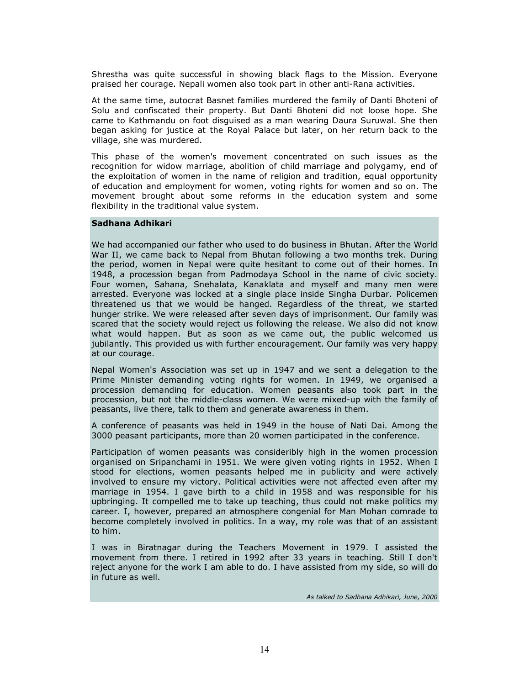Shrestha was quite successful in showing black flags to the Mission. Everyone praised her courage. Nepali women also took part in other anti-Rana activities.

At the same time, autocrat Basnet families murdered the family of Danti Bhoteni of Solu and confiscated their property. But Danti Bhoteni did not loose hope. She came to Kathmandu on foot disguised as a man wearing Daura Suruwal. She then began asking for justice at the Royal Palace but later, on her return back to the village, she was murdered.

This phase of the women's movement concentrated on such issues as the recognition for widow marriage, abolition of child marriage and polygamy, end of the exploitation of women in the name of religion and tradition, equal opportunity of education and employment for women, voting rights for women and so on. The movement brought about some reforms in the education system and some flexibility in the traditional value system.

#### Sadhana Adhikari

We had accompanied our father who used to do business in Bhutan. After the World War II, we came back to Nepal from Bhutan following a two months trek. During the period, women in Nepal were quite hesitant to come out of their homes. In 1948, a procession began from Padmodaya School in the name of civic society. Four women, Sahana, Snehalata, Kanaklata and myself and many men were arrested. Everyone was locked at a single place inside Singha Durbar. Policemen threatened us that we would be hanged. Regardless of the threat, we started hunger strike. We were released after seven days of imprisonment. Our family was scared that the society would reject us following the release. We also did not know what would happen. But as soon as we came out, the public welcomed us jubilantly. This provided us with further encouragement. Our family was very happy at our courage.

Nepal Women's Association was set up in 1947 and we sent a delegation to the Prime Minister demanding voting rights for women. In 1949, we organised a procession demanding for education. Women peasants also took part in the procession, but not the middle-class women. We were mixed-up with the family of peasants, live there, talk to them and generate awareness in them.

A conference of peasants was held in 1949 in the house of Nati Dai. Among the 3000 peasant participants, more than 20 women participated in the conference.

Participation of women peasants was consideribly high in the women procession organised on Sripanchami in 1951. We were given voting rights in 1952. When I stood for elections, women peasants helped me in publicity and were actively involved to ensure my victory. Political activities were not affected even after my marriage in 1954. I gave birth to a child in 1958 and was responsible for his upbringing. It compelled me to take up teaching, thus could not make politics my career. I, however, prepared an atmosphere congenial for Man Mohan comrade to become completely involved in politics. In a way, my role was that of an assistant to him.

I was in Biratnagar during the Teachers Movement in 1979. I assisted the movement from there. I retired in 1992 after 33 years in teaching. Still I don't reject anyone for the work I am able to do. I have assisted from my side, so will do in future as well.

As talked to Sadhana Adhikari, June, 2000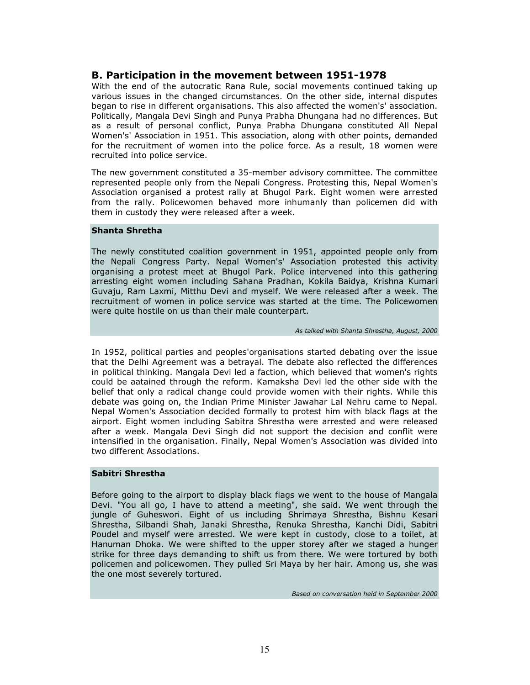### B. Participation in the movement between 1951-1978

With the end of the autocratic Rana Rule, social movements continued taking up various issues in the changed circumstances. On the other side, internal disputes began to rise in different organisations. This also affected the women's' association. Politically, Mangala Devi Singh and Punya Prabha Dhungana had no differences. But as a result of personal conflict, Punya Prabha Dhungana constituted All Nepal Women's' Association in 1951. This association, along with other points, demanded for the recruitment of women into the police force. As a result, 18 women were recruited into police service.

The new government constituted a 35-member advisory committee. The committee represented people only from the Nepali Congress. Protesting this, Nepal Women's Association organised a protest rally at Bhugol Park. Eight women were arrested from the rally. Policewomen behaved more inhumanly than policemen did with them in custody they were released after a week.

#### Shanta Shretha

The newly constituted coalition government in 1951, appointed people only from the Nepali Congress Party. Nepal Women's' Association protested this activity organising a protest meet at Bhugol Park. Police intervened into this gathering arresting eight women including Sahana Pradhan, Kokila Baidya, Krishna Kumari Guvaju, Ram Laxmi, Mitthu Devi and myself. We were released after a week. The recruitment of women in police service was started at the time. The Policewomen were quite hostile on us than their male counterpart.

As talked with Shanta Shrestha, August, 2000

In 1952, political parties and peoples'organisations started debating over the issue that the Delhi Agreement was a betrayal. The debate also reflected the differences in political thinking. Mangala Devi led a faction, which believed that women's rights could be aatained through the reform. Kamaksha Devi led the other side with the belief that only a radical change could provide women with their rights. While this debate was going on, the Indian Prime Minister Jawahar Lal Nehru came to Nepal. Nepal Women's Association decided formally to protest him with black flags at the airport. Eight women including Sabitra Shrestha were arrested and were released after a week. Mangala Devi Singh did not support the decision and conflit were intensified in the organisation. Finally, Nepal Women's Association was divided into two different Associations.

### Sabitri Shrestha

Before going to the airport to display black flags we went to the house of Mangala Devi. "You all go, I have to attend a meeting", she said. We went through the jungle of Guheswori. Eight of us including Shrimaya Shrestha, Bishnu Kesari Shrestha, Silbandi Shah, Janaki Shrestha, Renuka Shrestha, Kanchi Didi, Sabitri Poudel and myself were arrested. We were kept in custody, close to a toilet, at Hanuman Dhoka. We were shifted to the upper storey after we staged a hunger strike for three days demanding to shift us from there. We were tortured by both policemen and policewomen. They pulled Sri Maya by her hair. Among us, she was the one most severely tortured.

Based on conversation held in September 2000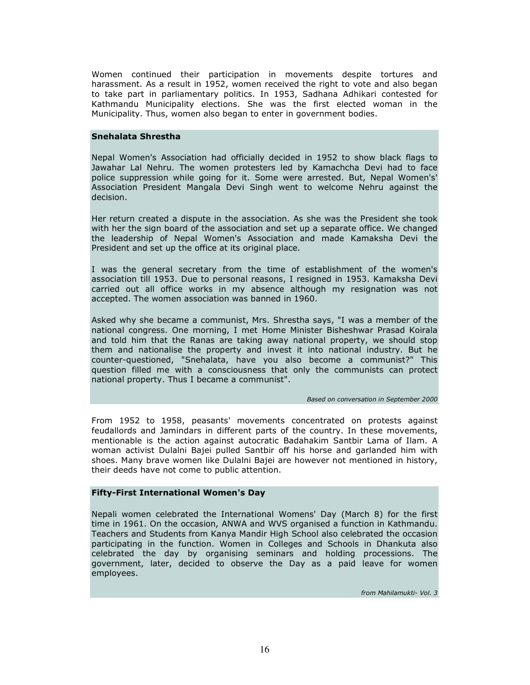Women continued their participation in movements despite tortures and harassment. As a result in 1952, women received the right to vote and also began to take part in parliamentary politics. In 1953, Sadhana Adhikari contested for Kathmandu Municipality elections. She was the first elected woman in the Municipality. Thus, women also began to enter in government bodies.

#### Snehalata Shrestha

Nepal Women's Association had officially decided in 1952 to show black flags to Jawahar Lal Nehru. The women protesters led by Kamachcha Devi had to face police suppression while going for it. Some were arrested. But, Nepal Women's' Association President Mangala Devi Singh went to welcome Nehru against the decision.

Her return created a dispute in the association. As she was the President she took with her the sign board of the association and set up a separate office. We changed the leadership of Nepal Women's Association and made Kamaksha Devi the President and set up the office at its original place.

I was the general secretary from the time of establishment of the women's association till 1953. Due to personal reasons, I resigned in 1953. Kamaksha Devi carried out all office works in my absence although my resignation was not accepted. The women association was banned in 1960.

Asked why she became a communist, Mrs. Shrestha says, "I was a member of the national congress. One morning, I met Home Minister Bisheshwar Prasad Koirala and told him that the Ranas are taking away national property, we should stop them and nationalise the property and invest it into national industry. But he counter-questioned, "Snehalata, have you also become a communist?" This question filled me with a consciousness that only the communists can protect national property. Thus I became a communist".

#### Based on conversation in September 2000

From 1952 to 1958, peasants' movements concentrated on protests against feudallords and Jamindars in different parts of the country. In these movements, mentionable is the action against autocratic Badahakim Santbir Lama of Ilam. A woman activist Dulalni Bajei pulled Santbir off his horse and garlanded him with shoes. Many brave women like Dulalni Bajei are however not mentioned in history, their deeds have not come to public attention.

#### Fifty-First International Women's Day

Nepali women celebrated the International Womens' Day (March 8) for the first time in 1961. On the occasion, ANWA and WVS organised a function in Kathmandu. Teachers and Students from Kanya Mandir High School also celebrated the occasion participating in the function. Women in Colleges and Schools in Dhankuta also celebrated the day by organising seminars and holding processions. The government, later, decided to observe the Day as a paid leave for women employees.

from Mahilamukti- Vol. 3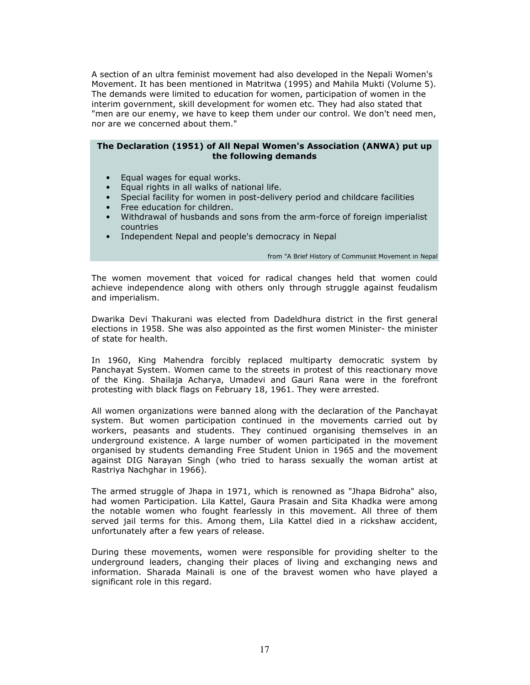A section of an ultra feminist movement had also developed in the Nepali Women's Movement. It has been mentioned in Matritwa (1995) and Mahila Mukti (Volume 5). The demands were limited to education for women, participation of women in the interim government, skill development for women etc. They had also stated that "men are our enemy, we have to keep them under our control. We don't need men, nor are we concerned about them."

#### The Declaration (1951) of All Nepal Women's Association (ANWA) put up the following demands

- Equal wages for equal works.
- Equal rights in all walks of national life.
- Special facility for women in post-delivery period and childcare facilities
- Free education for children.
- Withdrawal of husbands and sons from the arm-force of foreign imperialist countries
- Independent Nepal and people's democracy in Nepal

from "A Brief History of Communist Movement in Nepal

The women movement that voiced for radical changes held that women could achieve independence along with others only through struggle against feudalism and imperialism.

Dwarika Devi Thakurani was elected from Dadeldhura district in the first general elections in 1958. She was also appointed as the first women Minister- the minister of state for health.

In 1960, King Mahendra forcibly replaced multiparty democratic system by Panchayat System. Women came to the streets in protest of this reactionary move of the King. Shailaja Acharya, Umadevi and Gauri Rana were in the forefront protesting with black flags on February 18, 1961. They were arrested.

All women organizations were banned along with the declaration of the Panchayat system. But women participation continued in the movements carried out by workers, peasants and students. They continued organising themselves in an underground existence. A large number of women participated in the movement organised by students demanding Free Student Union in 1965 and the movement against DIG Narayan Singh (who tried to harass sexually the woman artist at Rastriya Nachghar in 1966).

The armed struggle of Jhapa in 1971, which is renowned as "Jhapa Bidroha" also, had women Participation. Lila Kattel, Gaura Prasain and Sita Khadka were among the notable women who fought fearlessly in this movement. All three of them served jail terms for this. Among them, Lila Kattel died in a rickshaw accident, unfortunately after a few years of release.

During these movements, women were responsible for providing shelter to the underground leaders, changing their places of living and exchanging news and information. Sharada Mainali is one of the bravest women who have played a significant role in this regard.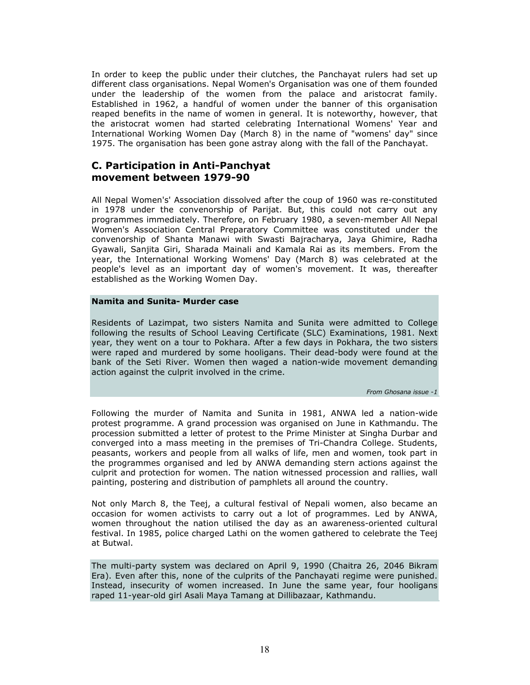In order to keep the public under their clutches, the Panchayat rulers had set up different class organisations. Nepal Women's Organisation was one of them founded under the leadership of the women from the palace and aristocrat family. Established in 1962, a handful of women under the banner of this organisation reaped benefits in the name of women in general. It is noteworthy, however, that the aristocrat women had started celebrating International Womens' Year and International Working Women Day (March 8) in the name of "womens' day" since 1975. The organisation has been gone astray along with the fall of the Panchayat.

### C. Participation in Anti-Panchyat movement between 1979-90

All Nepal Women's' Association dissolved after the coup of 1960 was re-constituted in 1978 under the convenorship of Parijat. But, this could not carry out any programmes immediately. Therefore, on February 1980, a seven-member All Nepal Women's Association Central Preparatory Committee was constituted under the convenorship of Shanta Manawi with Swasti Bajracharya, Jaya Ghimire, Radha Gyawali, Sanjita Giri, Sharada Mainali and Kamala Rai as its members. From the year, the International Working Womens' Day (March 8) was celebrated at the people's level as an important day of women's movement. It was, thereafter established as the Working Women Day.

#### Namita and Sunita- Murder case

Residents of Lazimpat, two sisters Namita and Sunita were admitted to College following the results of School Leaving Certificate (SLC) Examinations, 1981. Next year, they went on a tour to Pokhara. After a few days in Pokhara, the two sisters were raped and murdered by some hooligans. Their dead-body were found at the bank of the Seti River. Women then waged a nation-wide movement demanding action against the culprit involved in the crime.

From Ghosana issue -1

Following the murder of Namita and Sunita in 1981, ANWA led a nation-wide protest programme. A grand procession was organised on June in Kathmandu. The procession submitted a letter of protest to the Prime Minister at Singha Durbar and converged into a mass meeting in the premises of Tri-Chandra College. Students, peasants, workers and people from all walks of life, men and women, took part in the programmes organised and led by ANWA demanding stern actions against the culprit and protection for women. The nation witnessed procession and rallies, wall painting, postering and distribution of pamphlets all around the country.

Not only March 8, the Teej, a cultural festival of Nepali women, also became an occasion for women activists to carry out a lot of programmes. Led by ANWA, women throughout the nation utilised the day as an awareness-oriented cultural festival. In 1985, police charged Lathi on the women gathered to celebrate the Teej at Butwal.

The multi-party system was declared on April 9, 1990 (Chaitra 26, 2046 Bikram Era). Even after this, none of the culprits of the Panchayati regime were punished. Instead, insecurity of women increased. In June the same year, four hooligans raped 11-year-old girl Asali Maya Tamang at Dillibazaar, Kathmandu.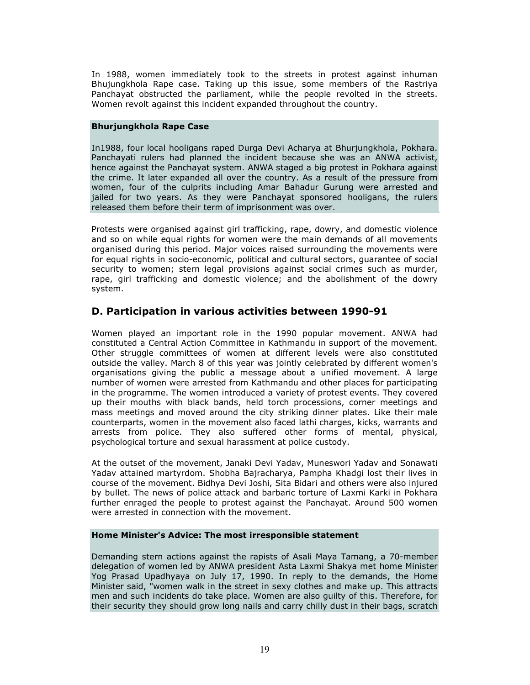In 1988, women immediately took to the streets in protest against inhuman Bhujungkhola Rape case. Taking up this issue, some members of the Rastriya Panchayat obstructed the parliament, while the people revolted in the streets. Women revolt against this incident expanded throughout the country.

#### Bhurjungkhola Rape Case

In1988, four local hooligans raped Durga Devi Acharya at Bhurjungkhola, Pokhara. Panchayati rulers had planned the incident because she was an ANWA activist, hence against the Panchayat system. ANWA staged a big protest in Pokhara against the crime. It later expanded all over the country. As a result of the pressure from women, four of the culprits including Amar Bahadur Gurung were arrested and jailed for two years. As they were Panchayat sponsored hooligans, the rulers released them before their term of imprisonment was over.

Protests were organised against girl trafficking, rape, dowry, and domestic violence and so on while equal rights for women were the main demands of all movements organised during this period. Major voices raised surrounding the movements were for equal rights in socio-economic, political and cultural sectors, guarantee of social security to women; stern legal provisions against social crimes such as murder, rape, girl trafficking and domestic violence; and the abolishment of the dowry system.

### D. Participation in various activities between 1990-91

Women played an important role in the 1990 popular movement. ANWA had constituted a Central Action Committee in Kathmandu in support of the movement. Other struggle committees of women at different levels were also constituted outside the valley. March 8 of this year was jointly celebrated by different women's organisations giving the public a message about a unified movement. A large number of women were arrested from Kathmandu and other places for participating in the programme. The women introduced a variety of protest events. They covered up their mouths with black bands, held torch processions, corner meetings and mass meetings and moved around the city striking dinner plates. Like their male counterparts, women in the movement also faced lathi charges, kicks, warrants and arrests from police. They also suffered other forms of mental, physical, psychological torture and sexual harassment at police custody.

At the outset of the movement, Janaki Devi Yadav, Muneswori Yadav and Sonawati Yadav attained martyrdom. Shobha Bajracharya, Pampha Khadgi lost their lives in course of the movement. Bidhya Devi Joshi, Sita Bidari and others were also injured by bullet. The news of police attack and barbaric torture of Laxmi Karki in Pokhara further enraged the people to protest against the Panchayat. Around 500 women were arrested in connection with the movement.

#### Home Minister's Advice: The most irresponsible statement

Demanding stern actions against the rapists of Asali Maya Tamang, a 70-member delegation of women led by ANWA president Asta Laxmi Shakya met home Minister Yog Prasad Upadhyaya on July 17, 1990. In reply to the demands, the Home Minister said, "women walk in the street in sexy clothes and make up. This attracts men and such incidents do take place. Women are also guilty of this. Therefore, for their security they should grow long nails and carry chilly dust in their bags, scratch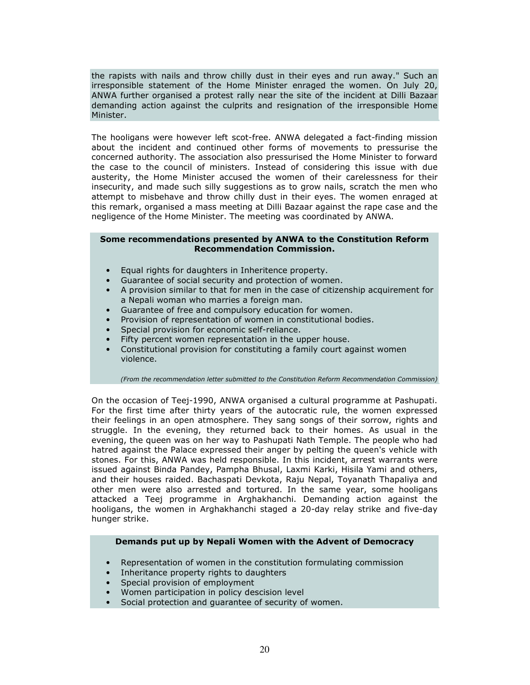the rapists with nails and throw chilly dust in their eyes and run away." Such an irresponsible statement of the Home Minister enraged the women. On July 20, ANWA further organised a protest rally near the site of the incident at Dilli Bazaar demanding action against the culprits and resignation of the irresponsible Home Minister.

The hooligans were however left scot-free. ANWA delegated a fact-finding mission about the incident and continued other forms of movements to pressurise the concerned authority. The association also pressurised the Home Minister to forward the case to the council of ministers. Instead of considering this issue with due austerity, the Home Minister accused the women of their carelessness for their insecurity, and made such silly suggestions as to grow nails, scratch the men who attempt to misbehave and throw chilly dust in their eyes. The women enraged at this remark, organised a mass meeting at Dilli Bazaar against the rape case and the negligence of the Home Minister. The meeting was coordinated by ANWA.

#### Some recommendations presented by ANWA to the Constitution Reform Recommendation Commission.

- Equal rights for daughters in Inheritence property.
- Guarantee of social security and protection of women.
- A provision similar to that for men in the case of citizenship acquirement for a Nepali woman who marries a foreign man.
- Guarantee of free and compulsory education for women.
- Provision of representation of women in constitutional bodies.
- Special provision for economic self-reliance.
- Fifty percent women representation in the upper house.
- Constitutional provision for constituting a family court against women violence.

(From the recommendation letter submitted to the Constitution Reform Recommendation Commission)

On the occasion of Teej-1990, ANWA organised a cultural programme at Pashupati. For the first time after thirty years of the autocratic rule, the women expressed their feelings in an open atmosphere. They sang songs of their sorrow, rights and struggle. In the evening, they returned back to their homes. As usual in the evening, the queen was on her way to Pashupati Nath Temple. The people who had hatred against the Palace expressed their anger by pelting the queen's vehicle with stones. For this, ANWA was held responsible. In this incident, arrest warrants were issued against Binda Pandey, Pampha Bhusal, Laxmi Karki, Hisila Yami and others, and their houses raided. Bachaspati Devkota, Raju Nepal, Toyanath Thapaliya and other men were also arrested and tortured. In the same year, some hooligans attacked a Teej programme in Arghakhanchi. Demanding action against the hooligans, the women in Arghakhanchi staged a 20-day relay strike and five-day hunger strike.

#### Demands put up by Nepali Women with the Advent of Democracy

- Representation of women in the constitution formulating commission
- Inheritance property rights to daughters
- Special provision of employment
- Women participation in policy descision level
- Social protection and guarantee of security of women.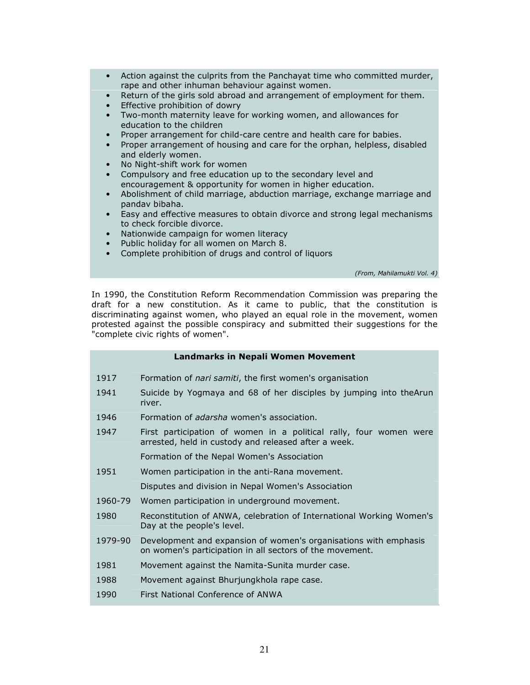- Action against the culprits from the Panchayat time who committed murder, rape and other inhuman behaviour against women.
- Return of the girls sold abroad and arrangement of employment for them.
- Effective prohibition of dowry
- Two-month maternity leave for working women, and allowances for education to the children
- Proper arrangement for child-care centre and health care for babies.
- Proper arrangement of housing and care for the orphan, helpless, disabled and elderly women.
- No Night-shift work for women
- Compulsory and free education up to the secondary level and encouragement & opportunity for women in higher education.
- Abolishment of child marriage, abduction marriage, exchange marriage and pandav bibaha.
- Easy and effective measures to obtain divorce and strong legal mechanisms to check forcible divorce.
- Nationwide campaign for women literacy
- Public holiday for all women on March 8.
- Complete prohibition of drugs and control of liquors

(From, Mahilamukti Vol. 4)

In 1990, the Constitution Reform Recommendation Commission was preparing the draft for a new constitution. As it came to public, that the constitution is discriminating against women, who played an equal role in the movement, women protested against the possible conspiracy and submitted their suggestions for the "complete civic rights of women".

|         | Landmarks in Nepali Women Movement                                                                                           |
|---------|------------------------------------------------------------------------------------------------------------------------------|
| 1917    | Formation of <i>nari samiti</i> , the first women's organisation                                                             |
| 1941    | Suicide by Yogmaya and 68 of her disciples by jumping into theArun<br>river.                                                 |
| 1946    | Formation of <i>adarsha</i> women's association.                                                                             |
| 1947    | First participation of women in a political rally, four women were<br>arrested, held in custody and released after a week.   |
|         | Formation of the Nepal Women's Association                                                                                   |
| 1951    | Women participation in the anti-Rana movement.                                                                               |
|         | Disputes and division in Nepal Women's Association                                                                           |
| 1960-79 | Women participation in underground movement.                                                                                 |
| 1980    | Reconstitution of ANWA, celebration of International Working Women's<br>Day at the people's level.                           |
| 1979-90 | Development and expansion of women's organisations with emphasis<br>on women's participation in all sectors of the movement. |
| 1981    | Movement against the Namita-Sunita murder case.                                                                              |
| 1988    | Movement against Bhurjungkhola rape case.                                                                                    |
| 1990    | First National Conference of ANWA                                                                                            |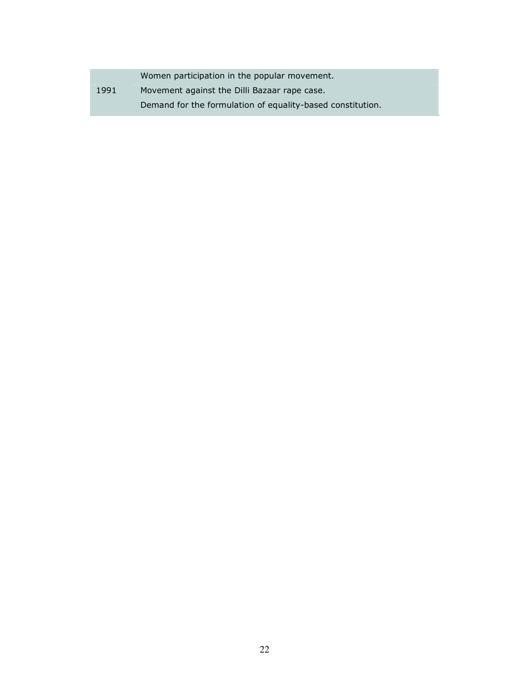|      | Women participation in the popular movement.               |
|------|------------------------------------------------------------|
| 1991 | Movement against the Dilli Bazaar rape case.               |
|      | Demand for the formulation of equality-based constitution. |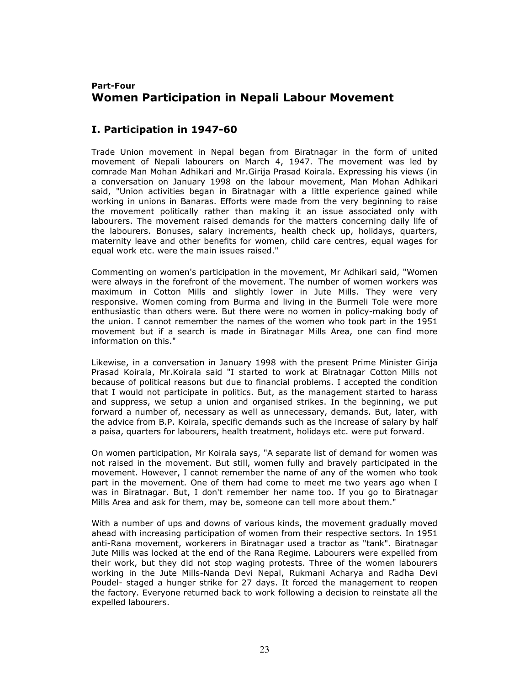# Part-Four Women Participation in Nepali Labour Movement

## I. Participation in 1947-60

Trade Union movement in Nepal began from Biratnagar in the form of united movement of Nepali labourers on March 4, 1947. The movement was led by comrade Man Mohan Adhikari and Mr.Girija Prasad Koirala. Expressing his views (in a conversation on January 1998 on the labour movement, Man Mohan Adhikari said, "Union activities began in Biratnagar with a little experience gained while working in unions in Banaras. Efforts were made from the very beginning to raise the movement politically rather than making it an issue associated only with labourers. The movement raised demands for the matters concerning daily life of the labourers. Bonuses, salary increments, health check up, holidays, quarters, maternity leave and other benefits for women, child care centres, equal wages for equal work etc. were the main issues raised."

Commenting on women's participation in the movement, Mr Adhikari said, "Women were always in the forefront of the movement. The number of women workers was maximum in Cotton Mills and slightly lower in Jute Mills. They were very responsive. Women coming from Burma and living in the Burmeli Tole were more enthusiastic than others were. But there were no women in policy-making body of the union. I cannot remember the names of the women who took part in the 1951 movement but if a search is made in Biratnagar Mills Area, one can find more information on this."

Likewise, in a conversation in January 1998 with the present Prime Minister Girija Prasad Koirala, Mr.Koirala said "I started to work at Biratnagar Cotton Mills not because of political reasons but due to financial problems. I accepted the condition that I would not participate in politics. But, as the management started to harass and suppress, we setup a union and organised strikes. In the beginning, we put forward a number of, necessary as well as unnecessary, demands. But, later, with the advice from B.P. Koirala, specific demands such as the increase of salary by half a paisa, quarters for labourers, health treatment, holidays etc. were put forward.

On women participation, Mr Koirala says, "A separate list of demand for women was not raised in the movement. But still, women fully and bravely participated in the movement. However, I cannot remember the name of any of the women who took part in the movement. One of them had come to meet me two years ago when I was in Biratnagar. But, I don't remember her name too. If you go to Biratnagar Mills Area and ask for them, may be, someone can tell more about them."

With a number of ups and downs of various kinds, the movement gradually moved ahead with increasing participation of women from their respective sectors. In 1951 anti-Rana movement, workerers in Biratnagar used a tractor as "tank". Biratnagar Jute Mills was locked at the end of the Rana Regime. Labourers were expelled from their work, but they did not stop waging protests. Three of the women labourers working in the Jute Mills-Nanda Devi Nepal, Rukmani Acharya and Radha Devi Poudel- staged a hunger strike for 27 days. It forced the management to reopen the factory. Everyone returned back to work following a decision to reinstate all the expelled labourers.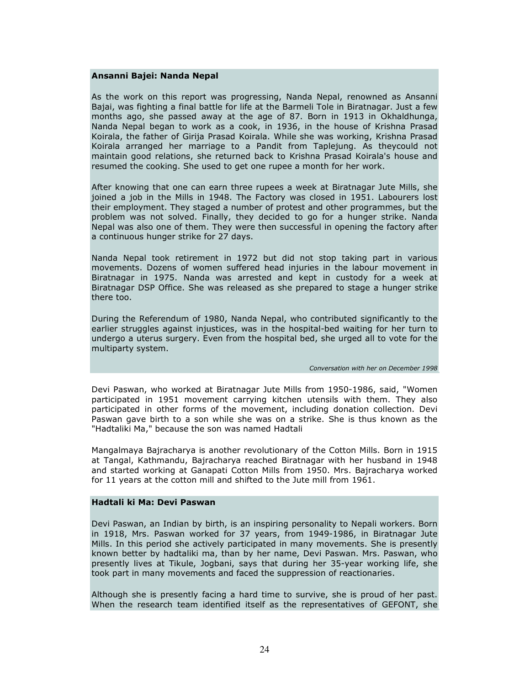#### Ansanni Bajei: Nanda Nepal

As the work on this report was progressing, Nanda Nepal, renowned as Ansanni Bajai, was fighting a final battle for life at the Barmeli Tole in Biratnagar. Just a few months ago, she passed away at the age of 87. Born in 1913 in Okhaldhunga, Nanda Nepal began to work as a cook, in 1936, in the house of Krishna Prasad Koirala, the father of Girija Prasad Koirala. While she was working, Krishna Prasad Koirala arranged her marriage to a Pandit from Taplejung. As theycould not maintain good relations, she returned back to Krishna Prasad Koirala's house and resumed the cooking. She used to get one rupee a month for her work.

After knowing that one can earn three rupees a week at Biratnagar Jute Mills, she joined a job in the Mills in 1948. The Factory was closed in 1951. Labourers lost their employment. They staged a number of protest and other programmes, but the problem was not solved. Finally, they decided to go for a hunger strike. Nanda Nepal was also one of them. They were then successful in opening the factory after a continuous hunger strike for 27 days.

Nanda Nepal took retirement in 1972 but did not stop taking part in various movements. Dozens of women suffered head injuries in the labour movement in Biratnagar in 1975. Nanda was arrested and kept in custody for a week at Biratnagar DSP Office. She was released as she prepared to stage a hunger strike there too.

During the Referendum of 1980, Nanda Nepal, who contributed significantly to the earlier struggles against injustices, was in the hospital-bed waiting for her turn to undergo a uterus surgery. Even from the hospital bed, she urged all to vote for the multiparty system.

Conversation with her on December 1998

Devi Paswan, who worked at Biratnagar Jute Mills from 1950-1986, said, "Women participated in 1951 movement carrying kitchen utensils with them. They also participated in other forms of the movement, including donation collection. Devi Paswan gave birth to a son while she was on a strike. She is thus known as the "Hadtaliki Ma," because the son was named Hadtali

Mangalmaya Bajracharya is another revolutionary of the Cotton Mills. Born in 1915 at Tangal, Kathmandu, Bajracharya reached Biratnagar with her husband in 1948 and started working at Ganapati Cotton Mills from 1950. Mrs. Bajracharya worked for 11 years at the cotton mill and shifted to the Jute mill from 1961.

#### Hadtali ki Ma: Devi Paswan

Devi Paswan, an Indian by birth, is an inspiring personality to Nepali workers. Born in 1918, Mrs. Paswan worked for 37 years, from 1949-1986, in Biratnagar Jute Mills. In this period she actively participated in many movements. She is presently known better by hadtaliki ma, than by her name, Devi Paswan. Mrs. Paswan, who presently lives at Tikule, Jogbani, says that during her 35-year working life, she took part in many movements and faced the suppression of reactionaries.

Although she is presently facing a hard time to survive, she is proud of her past. When the research team identified itself as the representatives of GEFONT, she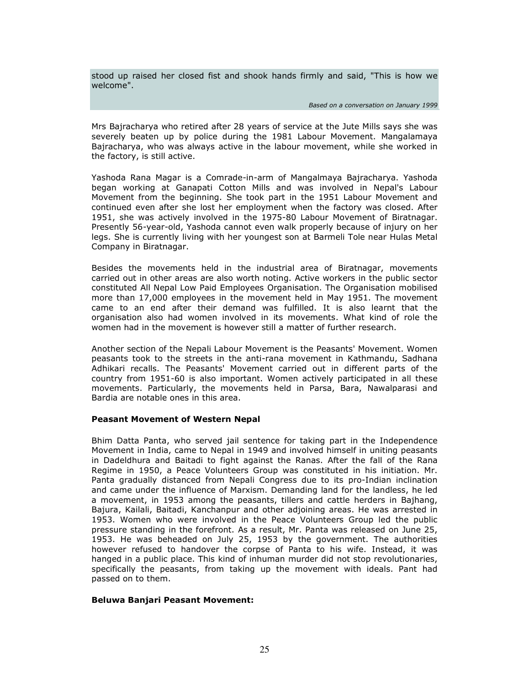stood up raised her closed fist and shook hands firmly and said, "This is how we welcome".

Based on a conversation on January 1999

Mrs Bajracharya who retired after 28 years of service at the Jute Mills says she was severely beaten up by police during the 1981 Labour Movement. Mangalamaya Bajracharya, who was always active in the labour movement, while she worked in the factory, is still active.

Yashoda Rana Magar is a Comrade-in-arm of Mangalmaya Bajracharya. Yashoda began working at Ganapati Cotton Mills and was involved in Nepal's Labour Movement from the beginning. She took part in the 1951 Labour Movement and continued even after she lost her employment when the factory was closed. After 1951, she was actively involved in the 1975-80 Labour Movement of Biratnagar. Presently 56-year-old, Yashoda cannot even walk properly because of injury on her legs. She is currently living with her youngest son at Barmeli Tole near Hulas Metal Company in Biratnagar.

Besides the movements held in the industrial area of Biratnagar, movements carried out in other areas are also worth noting. Active workers in the public sector constituted All Nepal Low Paid Employees Organisation. The Organisation mobilised more than 17,000 employees in the movement held in May 1951. The movement came to an end after their demand was fulfilled. It is also learnt that the organisation also had women involved in its movements. What kind of role the women had in the movement is however still a matter of further research.

Another section of the Nepali Labour Movement is the Peasants' Movement. Women peasants took to the streets in the anti-rana movement in Kathmandu, Sadhana Adhikari recalls. The Peasants' Movement carried out in different parts of the country from 1951-60 is also important. Women actively participated in all these movements. Particularly, the movements held in Parsa, Bara, Nawalparasi and Bardia are notable ones in this area.

#### Peasant Movement of Western Nepal

Bhim Datta Panta, who served jail sentence for taking part in the Independence Movement in India, came to Nepal in 1949 and involved himself in uniting peasants in Dadeldhura and Baitadi to fight against the Ranas. After the fall of the Rana Regime in 1950, a Peace Volunteers Group was constituted in his initiation. Mr. Panta gradually distanced from Nepali Congress due to its pro-Indian inclination and came under the influence of Marxism. Demanding land for the landless, he led a movement, in 1953 among the peasants, tillers and cattle herders in Bajhang, Bajura, Kailali, Baitadi, Kanchanpur and other adjoining areas. He was arrested in 1953. Women who were involved in the Peace Volunteers Group led the public pressure standing in the forefront. As a result, Mr. Panta was released on June 25, 1953. He was beheaded on July 25, 1953 by the government. The authorities however refused to handover the corpse of Panta to his wife. Instead, it was hanged in a public place. This kind of inhuman murder did not stop revolutionaries, specifically the peasants, from taking up the movement with ideals. Pant had passed on to them.

#### Beluwa Banjari Peasant Movement: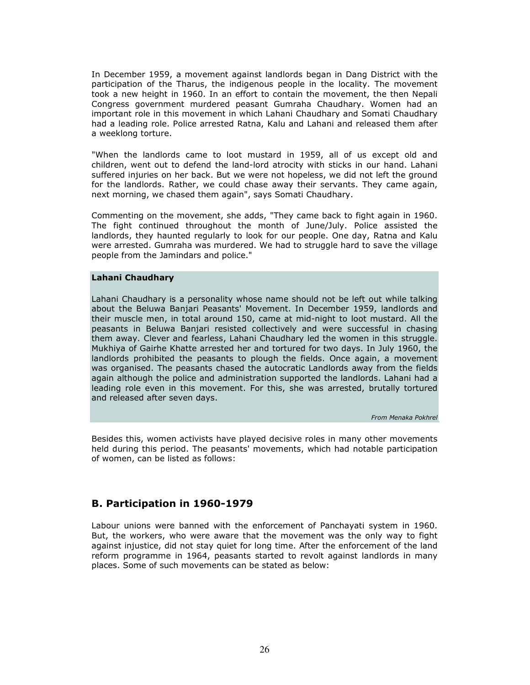In December 1959, a movement against landlords began in Dang District with the participation of the Tharus, the indigenous people in the locality. The movement took a new height in 1960. In an effort to contain the movement, the then Nepali Congress government murdered peasant Gumraha Chaudhary. Women had an important role in this movement in which Lahani Chaudhary and Somati Chaudhary had a leading role. Police arrested Ratna, Kalu and Lahani and released them after a weeklong torture.

"When the landlords came to loot mustard in 1959, all of us except old and children, went out to defend the land-lord atrocity with sticks in our hand. Lahani suffered injuries on her back. But we were not hopeless, we did not left the ground for the landlords. Rather, we could chase away their servants. They came again, next morning, we chased them again", says Somati Chaudhary.

Commenting on the movement, she adds, "They came back to fight again in 1960. The fight continued throughout the month of June/July. Police assisted the landlords, they haunted regularly to look for our people. One day, Ratna and Kalu were arrested. Gumraha was murdered. We had to struggle hard to save the village people from the Jamindars and police."

#### Lahani Chaudhary

Lahani Chaudhary is a personality whose name should not be left out while talking about the Beluwa Banjari Peasants' Movement. In December 1959, landlords and their muscle men, in total around 150, came at mid-night to loot mustard. All the peasants in Beluwa Banjari resisted collectively and were successful in chasing them away. Clever and fearless, Lahani Chaudhary led the women in this struggle. Mukhiya of Gairhe Khatte arrested her and tortured for two days. In July 1960, the landlords prohibited the peasants to plough the fields. Once again, a movement was organised. The peasants chased the autocratic Landlords away from the fields again although the police and administration supported the landlords. Lahani had a leading role even in this movement. For this, she was arrested, brutally tortured and released after seven days.

From Menaka Pokhrel

Besides this, women activists have played decisive roles in many other movements held during this period. The peasants' movements, which had notable participation of women, can be listed as follows:

### B. Participation in 1960-1979

Labour unions were banned with the enforcement of Panchayati system in 1960. But, the workers, who were aware that the movement was the only way to fight against injustice, did not stay quiet for long time. After the enforcement of the land reform programme in 1964, peasants started to revolt against landlords in many places. Some of such movements can be stated as below: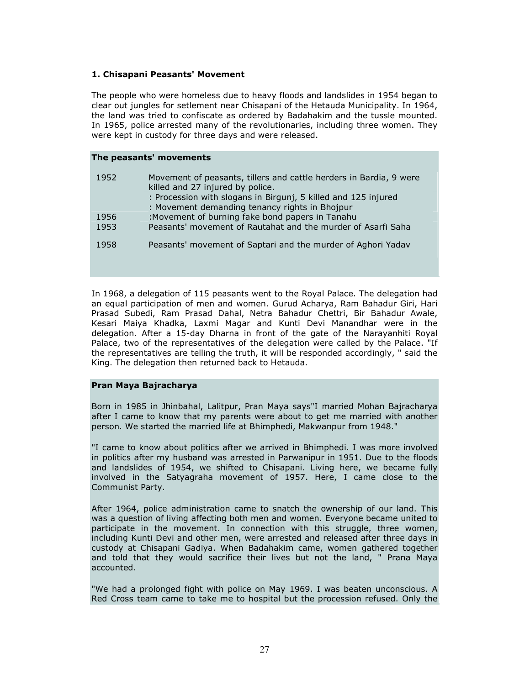### 1. Chisapani Peasants' Movement

The people who were homeless due to heavy floods and landslides in 1954 began to clear out jungles for setlement near Chisapani of the Hetauda Municipality. In 1964, the land was tried to confiscate as ordered by Badahakim and the tussle mounted. In 1965, police arrested many of the revolutionaries, including three women. They were kept in custody for three days and were released.

#### The peasants' movements

| 1952         | Movement of peasants, tillers and cattle herders in Bardia, 9 were<br>killed and 27 injured by police.<br>: Procession with slogans in Birgunj, 5 killed and 125 injured<br>: Movement demanding tenancy rights in Bhojpur |
|--------------|----------------------------------------------------------------------------------------------------------------------------------------------------------------------------------------------------------------------------|
| 1956<br>1953 | :Movement of burning fake bond papers in Tanahu<br>Peasants' movement of Rautahat and the murder of Asarfi Saha                                                                                                            |
| 1958         | Peasants' movement of Saptari and the murder of Aghori Yadav                                                                                                                                                               |
|              |                                                                                                                                                                                                                            |

In 1968, a delegation of 115 peasants went to the Royal Palace. The delegation had an equal participation of men and women. Gurud Acharya, Ram Bahadur Giri, Hari Prasad Subedi, Ram Prasad Dahal, Netra Bahadur Chettri, Bir Bahadur Awale, Kesari Maiya Khadka, Laxmi Magar and Kunti Devi Manandhar were in the delegation. After a 15-day Dharna in front of the gate of the Narayanhiti Royal Palace, two of the representatives of the delegation were called by the Palace. "If the representatives are telling the truth, it will be responded accordingly, " said the King. The delegation then returned back to Hetauda.

#### Pran Maya Bajracharya

Born in 1985 in Jhinbahal, Lalitpur, Pran Maya says"I married Mohan Bajracharya after I came to know that my parents were about to get me married with another person. We started the married life at Bhimphedi, Makwanpur from 1948."

"I came to know about politics after we arrived in Bhimphedi. I was more involved in politics after my husband was arrested in Parwanipur in 1951. Due to the floods and landslides of 1954, we shifted to Chisapani. Living here, we became fully involved in the Satyagraha movement of 1957. Here, I came close to the Communist Party.

After 1964, police administration came to snatch the ownership of our land. This was a question of living affecting both men and women. Everyone became united to participate in the movement. In connection with this struggle, three women, including Kunti Devi and other men, were arrested and released after three days in custody at Chisapani Gadiya. When Badahakim came, women gathered together and told that they would sacrifice their lives but not the land, " Prana Maya accounted.

"We had a prolonged fight with police on May 1969. I was beaten unconscious. A Red Cross team came to take me to hospital but the procession refused. Only the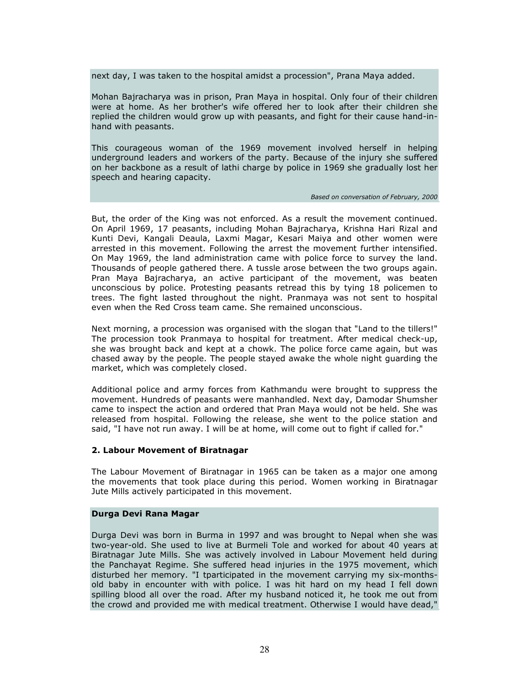next day, I was taken to the hospital amidst a procession", Prana Maya added.

Mohan Bajracharya was in prison, Pran Maya in hospital. Only four of their children were at home. As her brother's wife offered her to look after their children she replied the children would grow up with peasants, and fight for their cause hand-inhand with peasants.

This courageous woman of the 1969 movement involved herself in helping underground leaders and workers of the party. Because of the injury she suffered on her backbone as a result of lathi charge by police in 1969 she gradually lost her speech and hearing capacity.

#### Based on conversation of February, 2000

But, the order of the King was not enforced. As a result the movement continued. On April 1969, 17 peasants, including Mohan Bajracharya, Krishna Hari Rizal and Kunti Devi, Kangali Deaula, Laxmi Magar, Kesari Maiya and other women were arrested in this movement. Following the arrest the movement further intensified. On May 1969, the land administration came with police force to survey the land. Thousands of people gathered there. A tussle arose between the two groups again. Pran Maya Bajracharya, an active participant of the movement, was beaten unconscious by police. Protesting peasants retread this by tying 18 policemen to trees. The fight lasted throughout the night. Pranmaya was not sent to hospital even when the Red Cross team came. She remained unconscious.

Next morning, a procession was organised with the slogan that "Land to the tillers!" The procession took Pranmaya to hospital for treatment. After medical check-up, she was brought back and kept at a chowk. The police force came again, but was chased away by the people. The people stayed awake the whole night guarding the market, which was completely closed.

Additional police and army forces from Kathmandu were brought to suppress the movement. Hundreds of peasants were manhandled. Next day, Damodar Shumsher came to inspect the action and ordered that Pran Maya would not be held. She was released from hospital. Following the release, she went to the police station and said, "I have not run away. I will be at home, will come out to fight if called for."

#### 2. Labour Movement of Biratnagar

The Labour Movement of Biratnagar in 1965 can be taken as a major one among the movements that took place during this period. Women working in Biratnagar Jute Mills actively participated in this movement.

#### Durga Devi Rana Magar

Durga Devi was born in Burma in 1997 and was brought to Nepal when she was two-year-old. She used to live at Burmeli Tole and worked for about 40 years at Biratnagar Jute Mills. She was actively involved in Labour Movement held during the Panchayat Regime. She suffered head injuries in the 1975 movement, which disturbed her memory. "I tparticipated in the movement carrying my six-monthsold baby in encounter with with police. I was hit hard on my head I fell down spilling blood all over the road. After my husband noticed it, he took me out from the crowd and provided me with medical treatment. Otherwise I would have dead,"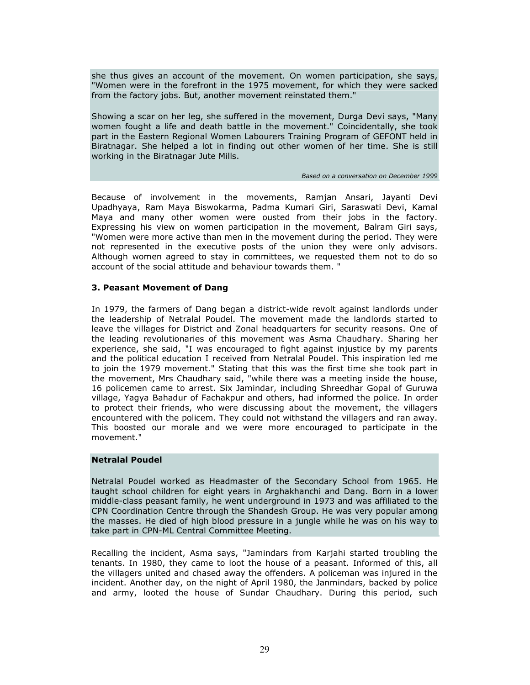she thus gives an account of the movement. On women participation, she says, "Women were in the forefront in the 1975 movement, for which they were sacked from the factory jobs. But, another movement reinstated them."

Showing a scar on her leg, she suffered in the movement, Durga Devi says, "Many women fought a life and death battle in the movement." Coincidentally, she took part in the Eastern Regional Women Labourers Training Program of GEFONT held in Biratnagar. She helped a lot in finding out other women of her time. She is still working in the Biratnagar Jute Mills.

Based on a conversation on December 1999

Because of involvement in the movements, Ramjan Ansari, Jayanti Devi Upadhyaya, Ram Maya Biswokarma, Padma Kumari Giri, Saraswati Devi, Kamal Maya and many other women were ousted from their jobs in the factory. Expressing his view on women participation in the movement, Balram Giri says, "Women were more active than men in the movement during the period. They were not represented in the executive posts of the union they were only advisors. Although women agreed to stay in committees, we requested them not to do so account of the social attitude and behaviour towards them. "

### 3. Peasant Movement of Dang

In 1979, the farmers of Dang began a district-wide revolt against landlords under the leadership of Netralal Poudel. The movement made the landlords started to leave the villages for District and Zonal headquarters for security reasons. One of the leading revolutionaries of this movement was Asma Chaudhary. Sharing her experience, she said, "I was encouraged to fight against injustice by my parents and the political education I received from Netralal Poudel. This inspiration led me to join the 1979 movement." Stating that this was the first time she took part in the movement, Mrs Chaudhary said, "while there was a meeting inside the house, 16 policemen came to arrest. Six Jamindar, including Shreedhar Gopal of Guruwa village, Yagya Bahadur of Fachakpur and others, had informed the police. In order to protect their friends, who were discussing about the movement, the villagers encountered with the policem. They could not withstand the villagers and ran away. This boosted our morale and we were more encouraged to participate in the movement."

### Netralal Poudel

Netralal Poudel worked as Headmaster of the Secondary School from 1965. He taught school children for eight years in Arghakhanchi and Dang. Born in a lower middle-class peasant family, he went underground in 1973 and was affiliated to the CPN Coordination Centre through the Shandesh Group. He was very popular among the masses. He died of high blood pressure in a jungle while he was on his way to take part in CPN-ML Central Committee Meeting.

Recalling the incident, Asma says, "Jamindars from Karjahi started troubling the tenants. In 1980, they came to loot the house of a peasant. Informed of this, all the villagers united and chased away the offenders. A policeman was injured in the incident. Another day, on the night of April 1980, the Janmindars, backed by police and army, looted the house of Sundar Chaudhary. During this period, such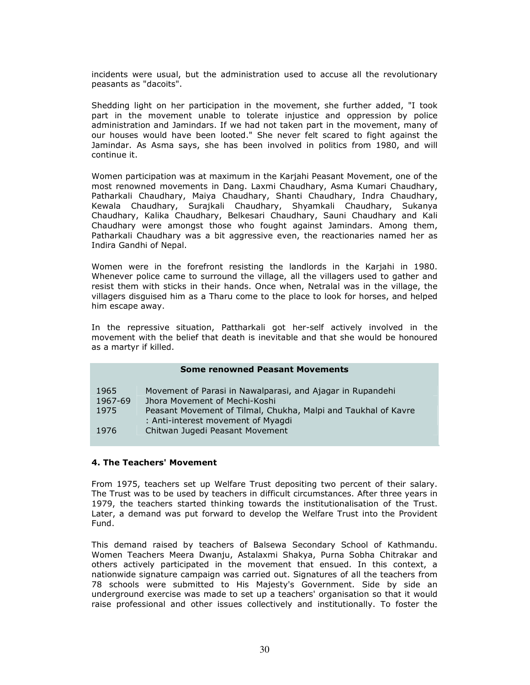incidents were usual, but the administration used to accuse all the revolutionary peasants as "dacoits".

Shedding light on her participation in the movement, she further added, "I took part in the movement unable to tolerate injustice and oppression by police administration and Jamindars. If we had not taken part in the movement, many of our houses would have been looted." She never felt scared to fight against the Jamindar. As Asma says, she has been involved in politics from 1980, and will continue it.

Women participation was at maximum in the Karjahi Peasant Movement, one of the most renowned movements in Dang. Laxmi Chaudhary, Asma Kumari Chaudhary, Patharkali Chaudhary, Maiya Chaudhary, Shanti Chaudhary, Indra Chaudhary, Kewala Chaudhary, Surajkali Chaudhary, Shyamkali Chaudhary, Sukanya Chaudhary, Kalika Chaudhary, Belkesari Chaudhary, Sauni Chaudhary and Kali Chaudhary were amongst those who fought against Jamindars. Among them, Patharkali Chaudhary was a bit aggressive even, the reactionaries named her as Indira Gandhi of Nepal.

Women were in the forefront resisting the landlords in the Karjahi in 1980. Whenever police came to surround the village, all the villagers used to gather and resist them with sticks in their hands. Once when, Netralal was in the village, the villagers disguised him as a Tharu come to the place to look for horses, and helped him escape away.

In the repressive situation, Pattharkali got her-self actively involved in the movement with the belief that death is inevitable and that she would be honoured as a martyr if killed.

|         | <b>Some renowned Peasant Movements</b>                                                               |
|---------|------------------------------------------------------------------------------------------------------|
| 1965    | Movement of Parasi in Nawalparasi, and Ajagar in Rupandehi                                           |
| 1967-69 | Jhora Movement of Mechi-Koshi                                                                        |
| 1975    | Peasant Movement of Tilmal, Chukha, Malpi and Taukhal of Kavre<br>: Anti-interest movement of Myagdi |
| 1976    | Chitwan Jugedi Peasant Movement                                                                      |

### 4. The Teachers' Movement

From 1975, teachers set up Welfare Trust depositing two percent of their salary. The Trust was to be used by teachers in difficult circumstances. After three years in 1979, the teachers started thinking towards the institutionalisation of the Trust. Later, a demand was put forward to develop the Welfare Trust into the Provident Fund.

This demand raised by teachers of Balsewa Secondary School of Kathmandu. Women Teachers Meera Dwanju, Astalaxmi Shakya, Purna Sobha Chitrakar and others actively participated in the movement that ensued. In this context, a nationwide signature campaign was carried out. Signatures of all the teachers from 78 schools were submitted to His Majesty's Government. Side by side an underground exercise was made to set up a teachers' organisation so that it would raise professional and other issues collectively and institutionally. To foster the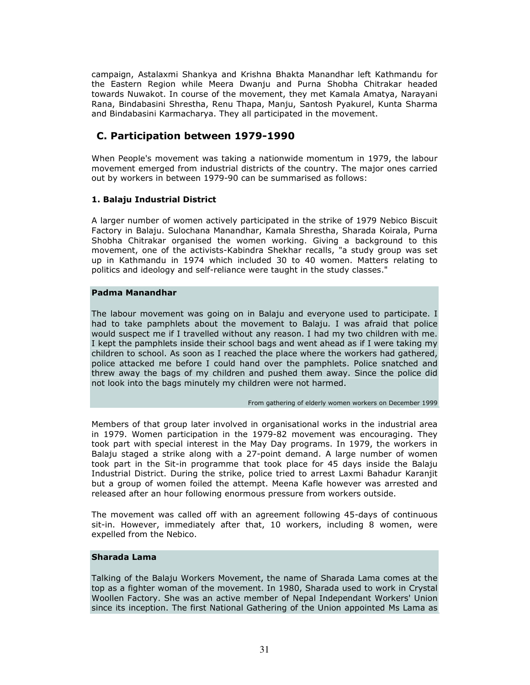campaign, Astalaxmi Shankya and Krishna Bhakta Manandhar left Kathmandu for the Eastern Region while Meera Dwanju and Purna Shobha Chitrakar headed towards Nuwakot. In course of the movement, they met Kamala Amatya, Narayani Rana, Bindabasini Shrestha, Renu Thapa, Manju, Santosh Pyakurel, Kunta Sharma and Bindabasini Karmacharya. They all participated in the movement.

# C. Participation between 1979-1990

When People's movement was taking a nationwide momentum in 1979, the labour movement emerged from industrial districts of the country. The major ones carried out by workers in between 1979-90 can be summarised as follows:

### 1. Balaju Industrial District

A larger number of women actively participated in the strike of 1979 Nebico Biscuit Factory in Balaju. Sulochana Manandhar, Kamala Shrestha, Sharada Koirala, Purna Shobha Chitrakar organised the women working. Giving a background to this movement, one of the activists-Kabindra Shekhar recalls, "a study group was set up in Kathmandu in 1974 which included 30 to 40 women. Matters relating to politics and ideology and self-reliance were taught in the study classes."

### Padma Manandhar

The labour movement was going on in Balaju and everyone used to participate. I had to take pamphlets about the movement to Balaju. I was afraid that police would suspect me if I travelled without any reason. I had my two children with me. I kept the pamphlets inside their school bags and went ahead as if I were taking my children to school. As soon as I reached the place where the workers had gathered, police attacked me before I could hand over the pamphlets. Police snatched and threw away the bags of my children and pushed them away. Since the police did not look into the bags minutely my children were not harmed.

#### From gathering of elderly women workers on December 1999

Members of that group later involved in organisational works in the industrial area in 1979. Women participation in the 1979-82 movement was encouraging. They took part with special interest in the May Day programs. In 1979, the workers in Balaju staged a strike along with a 27-point demand. A large number of women took part in the Sit-in programme that took place for 45 days inside the Balaju Industrial District. During the strike, police tried to arrest Laxmi Bahadur Karanjit but a group of women foiled the attempt. Meena Kafle however was arrested and released after an hour following enormous pressure from workers outside.

The movement was called off with an agreement following 45-days of continuous sit-in. However, immediately after that, 10 workers, including 8 women, were expelled from the Nebico.

#### Sharada Lama

Talking of the Balaju Workers Movement, the name of Sharada Lama comes at the top as a fighter woman of the movement. In 1980, Sharada used to work in Crystal Woollen Factory. She was an active member of Nepal Independant Workers' Union since its inception. The first National Gathering of the Union appointed Ms Lama as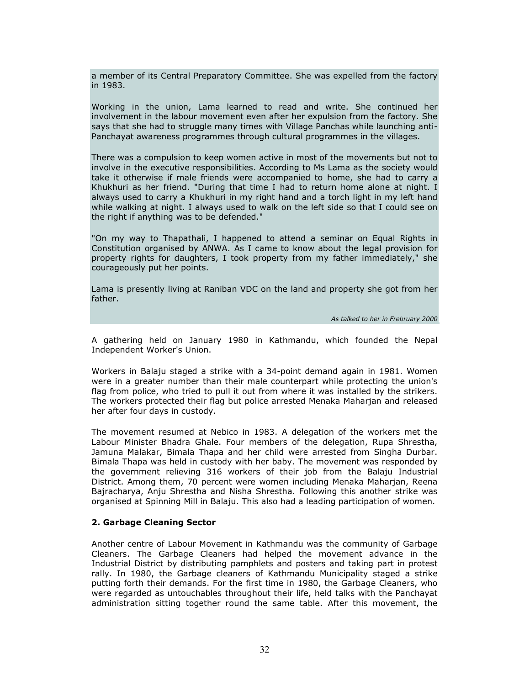a member of its Central Preparatory Committee. She was expelled from the factory in 1983.

Working in the union, Lama learned to read and write. She continued her involvement in the labour movement even after her expulsion from the factory. She says that she had to struggle many times with Village Panchas while launching anti-Panchayat awareness programmes through cultural programmes in the villages.

There was a compulsion to keep women active in most of the movements but not to involve in the executive responsibilities. According to Ms Lama as the society would take it otherwise if male friends were accompanied to home, she had to carry a Khukhuri as her friend. "During that time I had to return home alone at night. I always used to carry a Khukhuri in my right hand and a torch light in my left hand while walking at night. I always used to walk on the left side so that I could see on the right if anything was to be defended."

"On my way to Thapathali, I happened to attend a seminar on Equal Rights in Constitution organised by ANWA. As I came to know about the legal provision for property rights for daughters, I took property from my father immediately," she courageously put her points.

Lama is presently living at Raniban VDC on the land and property she got from her father.

As talked to her in Frebruary 2000

A gathering held on January 1980 in Kathmandu, which founded the Nepal Independent Worker's Union.

Workers in Balaju staged a strike with a 34-point demand again in 1981. Women were in a greater number than their male counterpart while protecting the union's flag from police, who tried to pull it out from where it was installed by the strikers. The workers protected their flag but police arrested Menaka Maharjan and released her after four days in custody.

The movement resumed at Nebico in 1983. A delegation of the workers met the Labour Minister Bhadra Ghale. Four members of the delegation, Rupa Shrestha, Jamuna Malakar, Bimala Thapa and her child were arrested from Singha Durbar. Bimala Thapa was held in custody with her baby. The movement was responded by the government relieving 316 workers of their job from the Balaju Industrial District. Among them, 70 percent were women including Menaka Maharjan, Reena Bajracharya, Anju Shrestha and Nisha Shrestha. Following this another strike was organised at Spinning Mill in Balaju. This also had a leading participation of women.

#### 2. Garbage Cleaning Sector

Another centre of Labour Movement in Kathmandu was the community of Garbage Cleaners. The Garbage Cleaners had helped the movement advance in the Industrial District by distributing pamphlets and posters and taking part in protest rally. In 1980, the Garbage cleaners of Kathmandu Municipality staged a strike putting forth their demands. For the first time in 1980, the Garbage Cleaners, who were regarded as untouchables throughout their life, held talks with the Panchayat administration sitting together round the same table. After this movement, the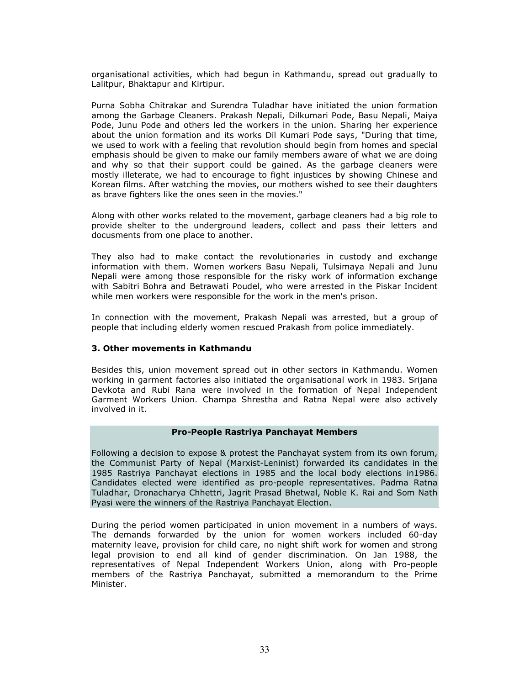organisational activities, which had begun in Kathmandu, spread out gradually to Lalitpur, Bhaktapur and Kirtipur.

Purna Sobha Chitrakar and Surendra Tuladhar have initiated the union formation among the Garbage Cleaners. Prakash Nepali, Dilkumari Pode, Basu Nepali, Maiya Pode, Junu Pode and others led the workers in the union. Sharing her experience about the union formation and its works Dil Kumari Pode says, "During that time, we used to work with a feeling that revolution should begin from homes and special emphasis should be given to make our family members aware of what we are doing and why so that their support could be gained. As the garbage cleaners were mostly illeterate, we had to encourage to fight injustices by showing Chinese and Korean films. After watching the movies, our mothers wished to see their daughters as brave fighters like the ones seen in the movies."

Along with other works related to the movement, garbage cleaners had a big role to provide shelter to the underground leaders, collect and pass their letters and docusments from one place to another.

They also had to make contact the revolutionaries in custody and exchange information with them. Women workers Basu Nepali, Tulsimaya Nepali and Junu Nepali were among those responsible for the risky work of information exchange with Sabitri Bohra and Betrawati Poudel, who were arrested in the Piskar Incident while men workers were responsible for the work in the men's prison.

In connection with the movement, Prakash Nepali was arrested, but a group of people that including elderly women rescued Prakash from police immediately.

#### 3. Other movements in Kathmandu

Besides this, union movement spread out in other sectors in Kathmandu. Women working in garment factories also initiated the organisational work in 1983. Srijana Devkota and Rubi Rana were involved in the formation of Nepal Independent Garment Workers Union. Champa Shrestha and Ratna Nepal were also actively involved in it.

#### Pro-People Rastriya Panchayat Members

Following a decision to expose & protest the Panchayat system from its own forum, the Communist Party of Nepal (Marxist-Leninist) forwarded its candidates in the 1985 Rastriya Panchayat elections in 1985 and the local body elections in1986. Candidates elected were identified as pro-people representatives. Padma Ratna Tuladhar, Dronacharya Chhettri, Jagrit Prasad Bhetwal, Noble K. Rai and Som Nath Pyasi were the winners of the Rastriya Panchayat Election.

During the period women participated in union movement in a numbers of ways. The demands forwarded by the union for women workers included 60-day maternity leave, provision for child care, no night shift work for women and strong legal provision to end all kind of gender discrimination. On Jan 1988, the representatives of Nepal Independent Workers Union, along with Pro-people members of the Rastriya Panchayat, submitted a memorandum to the Prime Minister.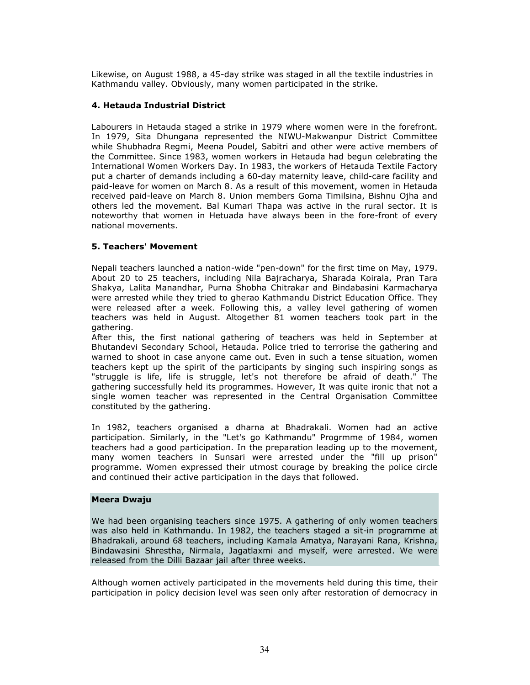Likewise, on August 1988, a 45-day strike was staged in all the textile industries in Kathmandu valley. Obviously, many women participated in the strike.

### 4. Hetauda Industrial District

Labourers in Hetauda staged a strike in 1979 where women were in the forefront. In 1979, Sita Dhungana represented the NIWU-Makwanpur District Committee while Shubhadra Regmi, Meena Poudel, Sabitri and other were active members of the Committee. Since 1983, women workers in Hetauda had begun celebrating the International Women Workers Day. In 1983, the workers of Hetauda Textile Factory put a charter of demands including a 60-day maternity leave, child-care facility and paid-leave for women on March 8. As a result of this movement, women in Hetauda received paid-leave on March 8. Union members Goma Timilsina, Bishnu Ojha and others led the movement. Bal Kumari Thapa was active in the rural sector. It is noteworthy that women in Hetuada have always been in the fore-front of every national movements.

### 5. Teachers' Movement

Nepali teachers launched a nation-wide "pen-down" for the first time on May, 1979. About 20 to 25 teachers, including Nila Bajracharya, Sharada Koirala, Pran Tara Shakya, Lalita Manandhar, Purna Shobha Chitrakar and Bindabasini Karmacharya were arrested while they tried to gherao Kathmandu District Education Office. They were released after a week. Following this, a valley level gathering of women teachers was held in August. Altogether 81 women teachers took part in the gathering.

After this, the first national gathering of teachers was held in September at Bhutandevi Secondary School, Hetauda. Police tried to terrorise the gathering and warned to shoot in case anyone came out. Even in such a tense situation, women teachers kept up the spirit of the participants by singing such inspiring songs as "struggle is life, life is struggle, let's not therefore be afraid of death." The gathering successfully held its programmes. However, It was quite ironic that not a single women teacher was represented in the Central Organisation Committee constituted by the gathering.

In 1982, teachers organised a dharna at Bhadrakali. Women had an active participation. Similarly, in the "Let's go Kathmandu" Progrmme of 1984, women teachers had a good participation. In the preparation leading up to the movement, many women teachers in Sunsari were arrested under the "fill up prison" programme. Women expressed their utmost courage by breaking the police circle and continued their active participation in the days that followed.

#### Meera Dwaju

We had been organising teachers since 1975. A gathering of only women teachers was also held in Kathmandu. In 1982, the teachers staged a sit-in programme at Bhadrakali, around 68 teachers, including Kamala Amatya, Narayani Rana, Krishna, Bindawasini Shrestha, Nirmala, Jagatlaxmi and myself, were arrested. We were released from the Dilli Bazaar jail after three weeks.

Although women actively participated in the movements held during this time, their participation in policy decision level was seen only after restoration of democracy in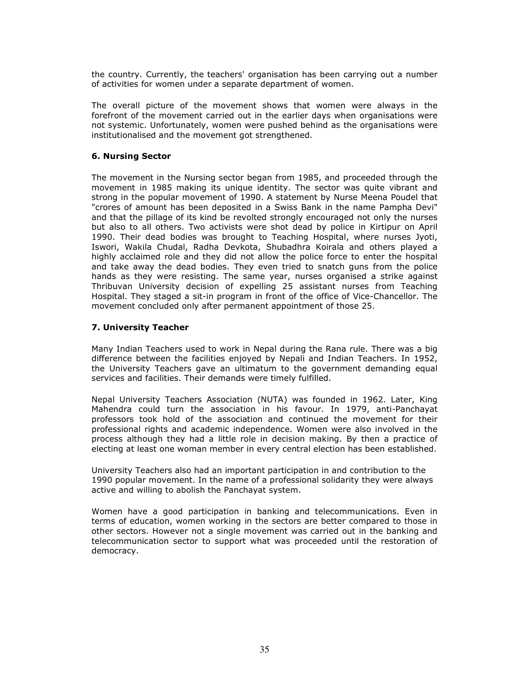the country. Currently, the teachers' organisation has been carrying out a number of activities for women under a separate department of women.

The overall picture of the movement shows that women were always in the forefront of the movement carried out in the earlier days when organisations were not systemic. Unfortunately, women were pushed behind as the organisations were institutionalised and the movement got strengthened.

### 6. Nursing Sector

The movement in the Nursing sector began from 1985, and proceeded through the movement in 1985 making its unique identity. The sector was quite vibrant and strong in the popular movement of 1990. A statement by Nurse Meena Poudel that "crores of amount has been deposited in a Swiss Bank in the name Pampha Devi" and that the pillage of its kind be revolted strongly encouraged not only the nurses but also to all others. Two activists were shot dead by police in Kirtipur on April 1990. Their dead bodies was brought to Teaching Hospital, where nurses Jyoti, Iswori, Wakila Chudal, Radha Devkota, Shubadhra Koirala and others played a highly acclaimed role and they did not allow the police force to enter the hospital and take away the dead bodies. They even tried to snatch guns from the police hands as they were resisting. The same year, nurses organised a strike against Thribuvan University decision of expelling 25 assistant nurses from Teaching Hospital. They staged a sit-in program in front of the office of Vice-Chancellor. The movement concluded only after permanent appointment of those 25.

### 7. University Teacher

Many Indian Teachers used to work in Nepal during the Rana rule. There was a big difference between the facilities enjoyed by Nepali and Indian Teachers. In 1952, the University Teachers gave an ultimatum to the government demanding equal services and facilities. Their demands were timely fulfilled.

Nepal University Teachers Association (NUTA) was founded in 1962. Later, King Mahendra could turn the association in his favour. In 1979, anti-Panchayat professors took hold of the association and continued the movement for their professional rights and academic independence. Women were also involved in the process although they had a little role in decision making. By then a practice of electing at least one woman member in every central election has been established.

University Teachers also had an important participation in and contribution to the 1990 popular movement. In the name of a professional solidarity they were always active and willing to abolish the Panchayat system.

Women have a good participation in banking and telecommunications. Even in terms of education, women working in the sectors are better compared to those in other sectors. However not a single movement was carried out in the banking and telecommunication sector to support what was proceeded until the restoration of democracy.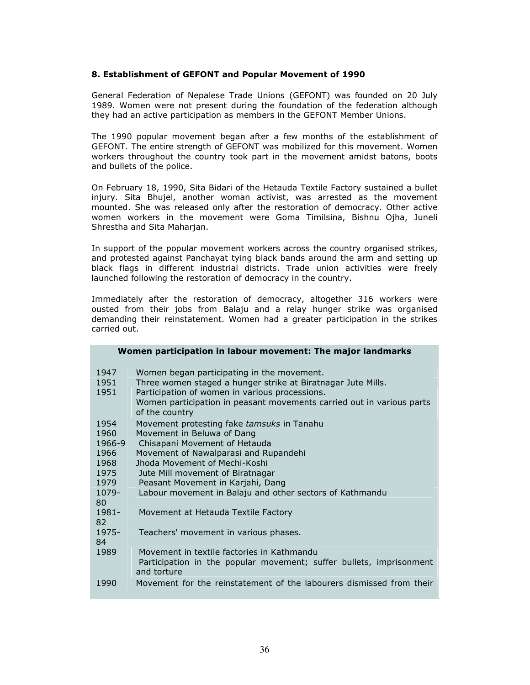#### 8. Establishment of GEFONT and Popular Movement of 1990

General Federation of Nepalese Trade Unions (GEFONT) was founded on 20 July 1989. Women were not present during the foundation of the federation although they had an active participation as members in the GEFONT Member Unions.

The 1990 popular movement began after a few months of the establishment of GEFONT. The entire strength of GEFONT was mobilized for this movement. Women workers throughout the country took part in the movement amidst batons, boots and bullets of the police.

On February 18, 1990, Sita Bidari of the Hetauda Textile Factory sustained a bullet injury. Sita Bhujel, another woman activist, was arrested as the movement mounted. She was released only after the restoration of democracy. Other active women workers in the movement were Goma Timilsina, Bishnu Ojha, Juneli Shrestha and Sita Maharjan.

In support of the popular movement workers across the country organised strikes, and protested against Panchayat tying black bands around the arm and setting up black flags in different industrial districts. Trade union activities were freely launched following the restoration of democracy in the country.

Immediately after the restoration of democracy, altogether 316 workers were ousted from their jobs from Balaju and a relay hunger strike was organised demanding their reinstatement. Women had a greater participation in the strikes carried out.

|                                                                       | Women participation in labour movement: The major landmarks                                                                                                                                                                                                                                                              |
|-----------------------------------------------------------------------|--------------------------------------------------------------------------------------------------------------------------------------------------------------------------------------------------------------------------------------------------------------------------------------------------------------------------|
| 1947<br>1951<br>1951                                                  | Women began participating in the movement.<br>Three women staged a hunger strike at Biratnagar Jute Mills.<br>Participation of women in various processions.<br>Women participation in peasant movements carried out in various parts<br>of the country                                                                  |
| 1954<br>1960<br>1966-9<br>1966<br>1968<br>1975<br>1979<br>1079-<br>80 | Movement protesting fake tamsuks in Tanahu<br>Movement in Beluwa of Dang<br>Chisapani Movement of Hetauda<br>Movement of Nawalparasi and Rupandehi<br>Jhoda Movement of Mechi-Koshi<br>Jute Mill movement of Biratnagar<br>Peasant Movement in Karjahi, Dang<br>Labour movement in Balaju and other sectors of Kathmandu |
| 1981-<br>82<br>1975-<br>84                                            | Movement at Hetauda Textile Factory<br>Teachers' movement in various phases.                                                                                                                                                                                                                                             |
| 1989                                                                  | Movement in textile factories in Kathmandu<br>Participation in the popular movement; suffer bullets, imprisonment<br>and torture                                                                                                                                                                                         |
| 1990                                                                  | Movement for the reinstatement of the labourers dismissed from their                                                                                                                                                                                                                                                     |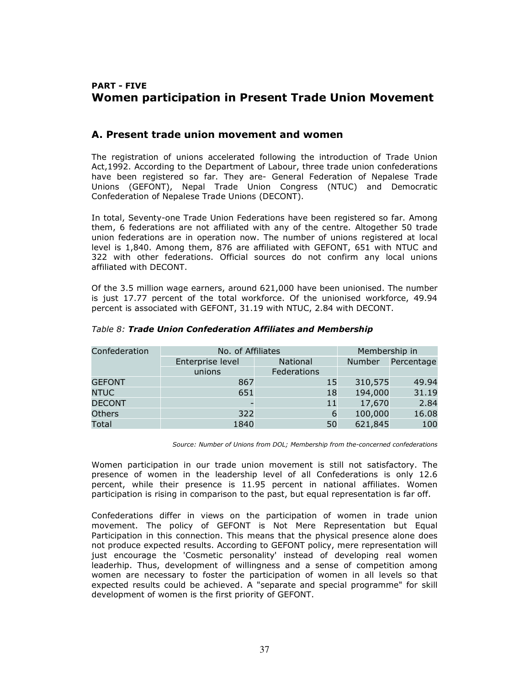# PART - FIVE Women participation in Present Trade Union Movement

### A. Present trade union movement and women

The registration of unions accelerated following the introduction of Trade Union Act,1992. According to the Department of Labour, three trade union confederations have been registered so far. They are- General Federation of Nepalese Trade Unions (GEFONT), Nepal Trade Union Congress (NTUC) and Democratic Confederation of Nepalese Trade Unions (DECONT).

In total, Seventy-one Trade Union Federations have been registered so far. Among them, 6 federations are not affiliated with any of the centre. Altogether 50 trade union federations are in operation now. The number of unions registered at local level is 1,840. Among them, 876 are affiliated with GEFONT, 651 with NTUC and 322 with other federations. Official sources do not confirm any local unions affiliated with DECONT.

Of the 3.5 million wage earners, around 621,000 have been unionised. The number is just 17.77 percent of the total workforce. Of the unionised workforce, 49.94 percent is associated with GEFONT, 31.19 with NTUC, 2.84 with DECONT.

| Confederation | No. of Affiliates |             | Membership in |         |            |
|---------------|-------------------|-------------|---------------|---------|------------|
|               | Enterprise level  | National    |               | Number  | Percentage |
|               | unions            | Federations |               |         |            |
| <b>GEFONT</b> | 867               |             | 15            | 310,575 | 49.94      |
| <b>NTUC</b>   | 651               |             | 18            | 194,000 | 31.19      |
| <b>DECONT</b> |                   |             | 11            | 17,670  | 2.84       |
| Others        | 322               |             | 6             | 100,000 | 16.08      |
| Total         | 1840              |             | 50            | 621,845 | 100        |

#### Table 8: Trade Union Confederation Affiliates and Membership

Source: Number of Unions from DOL; Membership from the-concerned confederations

Women participation in our trade union movement is still not satisfactory. The presence of women in the leadership level of all Confederations is only 12.6 percent, while their presence is 11.95 percent in national affiliates. Women participation is rising in comparison to the past, but equal representation is far off.

Confederations differ in views on the participation of women in trade union movement. The policy of GEFONT is Not Mere Representation but Equal Participation in this connection. This means that the physical presence alone does not produce expected results. According to GEFONT policy, mere representation will just encourage the 'Cosmetic personality' instead of developing real women leaderhip. Thus, development of willingness and a sense of competition among women are necessary to foster the participation of women in all levels so that expected results could be achieved. A "separate and special programme" for skill development of women is the first priority of GEFONT.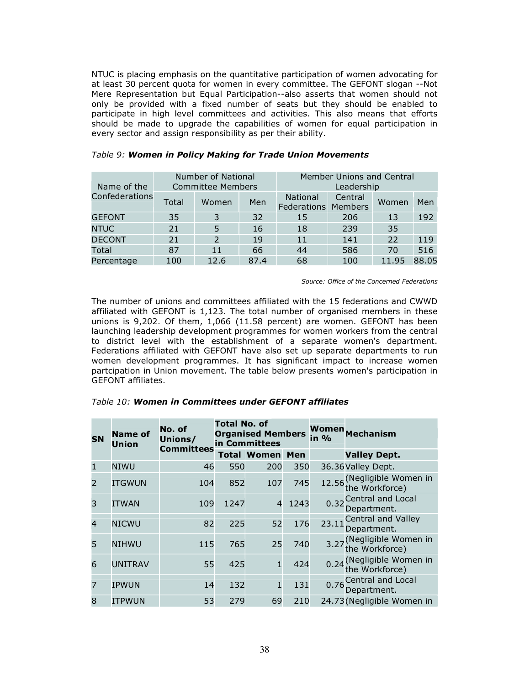NTUC is placing emphasis on the quantitative participation of women advocating for at least 30 percent quota for women in every committee. The GEFONT slogan --Not Mere Representation but Equal Participation--also asserts that women should not only be provided with a fixed number of seats but they should be enabled to participate in high level committees and activities. This also means that efforts should be made to upgrade the capabilities of women for equal participation in every sector and assign responsibility as per their ability.

| Name of the    |       | Number of National<br><b>Committee Members</b> |      | <b>Member Unions and Central</b><br>Leadership |         |       |       |
|----------------|-------|------------------------------------------------|------|------------------------------------------------|---------|-------|-------|
| Confederations | Total | Women                                          | Men  | <b>National</b><br><b>Federations Members</b>  | Central | Women | Men   |
| <b>GEFONT</b>  | 35    | 3                                              | 32   | 15                                             | 206     | 13    | 192   |
| <b>NTUC</b>    | 21    |                                                | 16   | 18                                             | 239     | 35    |       |
| <b>DECONT</b>  | 21    | $\mathcal{P}$                                  | 19   | 11                                             | 141     | 22    | 119   |
| Total          | 87    | 11                                             | 66   | 44                                             | 586     | 70    | 516   |
| Percentage     | 100   | 12.6                                           | 87.4 | 68                                             | 100     | 11.95 | 88.05 |

#### Table 9: Women in Policy Making for Trade Union Movements

Source: Office of the Concerned Federations

The number of unions and committees affiliated with the 15 federations and CWWD affiliated with GEFONT is 1,123. The total number of organised members in these unions is 9,202. Of them, 1,066 (11.58 percent) are women. GEFONT has been launching leadership development programmes for women workers from the central to district level with the establishment of a separate women's department. Federations affiliated with GEFONT have also set up separate departments to run women development programmes. It has significant impact to increase women partcipation in Union movement. The table below presents women's participation in GEFONT affiliates.

| <b>SN</b>      | <b>Name of</b><br><b>Union</b> | No. of<br>Unions/<br><b>Committees</b> | <b>Total No. of</b><br><b>Organised Members</b><br>in Committees |                        | in % | Women Mechanism |                                                    |
|----------------|--------------------------------|----------------------------------------|------------------------------------------------------------------|------------------------|------|-----------------|----------------------------------------------------|
|                |                                |                                        |                                                                  | <b>Total Women Men</b> |      |                 | <b>Valley Dept.</b>                                |
| $\mathbf{1}$   | NIWU                           | 46                                     | 550                                                              | 200                    | 350  |                 | 36.36 Valley Dept.                                 |
| 2              | <b>ITGWUN</b>                  | 104                                    | 852                                                              | 107                    | 745  |                 | 12.56 (Negligible Women in<br>12.56 the Workforce) |
| 3              | <b>ITWAN</b>                   | 109                                    | 1247                                                             | $\overline{4}$         | 1243 |                 | 0.32 Central and Local<br>Department.              |
| $\overline{4}$ | <b>NICWU</b>                   | 82                                     | 225                                                              | 52                     | 176  |                 | 23.11 <sup>Central</sup> and Valley<br>Department. |
| 5              | <b>NIHWU</b>                   | 115                                    | 765                                                              | 25                     | 740  |                 | 3.27 (Negligible Women in<br>the Workforce)        |
| 6              | <b>UNITRAV</b>                 | 55                                     | 425                                                              | $\mathbf{1}$           | 424  |                 | 0.24 (Negligible Women in<br>the Workforce)        |
| 7              | IPWUN                          | 14                                     | 132                                                              | $\mathbf{1}$           | 131  |                 | 0.76 Central and Local<br>Department.              |
| 8              | <b>ITPWUN</b>                  | 53                                     | 279                                                              | 69                     | 210  |                 | 24.73 (Negligible Women in                         |

#### Table 10: Women in Committees under GEFONT affiliates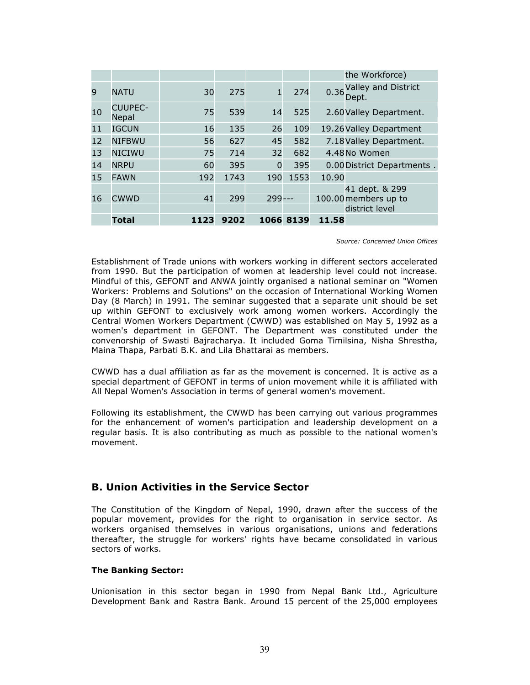|    |                         |      |      |              |           |       | the Workforce)                                           |
|----|-------------------------|------|------|--------------|-----------|-------|----------------------------------------------------------|
| 9  | <b>NATU</b>             | 30   | 275  | $\mathbf{1}$ | 274       |       | 0.36 Valley and District<br>Dept.                        |
| 10 | <b>CUUPEC-</b><br>Nepal | 75   | 539  | 14           | 525       |       | 2.60 Valley Department.                                  |
| 11 | <b>IGCUN</b>            | 16   | 135  | 26           | 109       |       | 19.26 Valley Department                                  |
| 12 | <b>NIFBWU</b>           | 56   | 627  | 45           | 582       |       | 7.18 Valley Department.                                  |
| 13 | <b>NICIWU</b>           | 75   | 714  | 32           | 682       |       | 4.48 No Women                                            |
| 14 | <b>NRPU</b>             | 60   | 395  | $\Omega$     | 395       |       | 0.00 District Departments.                               |
| 15 | <b>FAWN</b>             | 192  | 1743 | 190          | 1553      | 10.90 |                                                          |
| 16 | <b>CWWD</b>             | 41   | 299  | 299          |           |       | 41 dept. & 299<br>100.00 members up to<br>district level |
|    | <b>Total</b>            | 1123 | 9202 |              | 1066 8139 | 11.58 |                                                          |

Source: Concerned Union Offices

Establishment of Trade unions with workers working in different sectors accelerated from 1990. But the participation of women at leadership level could not increase. Mindful of this, GEFONT and ANWA jointly organised a national seminar on "Women Workers: Problems and Solutions" on the occasion of International Working Women Day (8 March) in 1991. The seminar suggested that a separate unit should be set up within GEFONT to exclusively work among women workers. Accordingly the Central Women Workers Department (CWWD) was established on May 5, 1992 as a women's department in GEFONT. The Department was constituted under the convenorship of Swasti Bajracharya. It included Goma Timilsina, Nisha Shrestha, Maina Thapa, Parbati B.K. and Lila Bhattarai as members.

CWWD has a dual affiliation as far as the movement is concerned. It is active as a special department of GEFONT in terms of union movement while it is affiliated with All Nepal Women's Association in terms of general women's movement.

Following its establishment, the CWWD has been carrying out various programmes for the enhancement of women's participation and leadership development on a regular basis. It is also contributing as much as possible to the national women's movement.

### B. Union Activities in the Service Sector

The Constitution of the Kingdom of Nepal, 1990, drawn after the success of the popular movement, provides for the right to organisation in service sector. As workers organised themselves in various organisations, unions and federations thereafter, the struggle for workers' rights have became consolidated in various sectors of works.

#### The Banking Sector:

Unionisation in this sector began in 1990 from Nepal Bank Ltd., Agriculture Development Bank and Rastra Bank. Around 15 percent of the 25,000 employees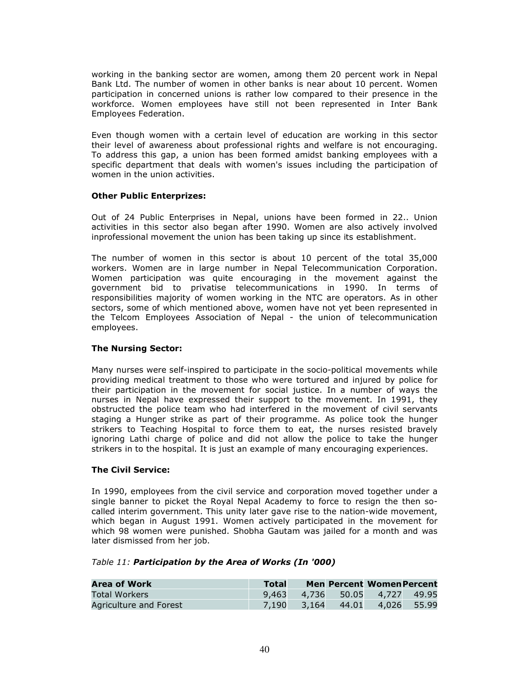working in the banking sector are women, among them 20 percent work in Nepal Bank Ltd. The number of women in other banks is near about 10 percent. Women participation in concerned unions is rather low compared to their presence in the workforce. Women employees have still not been represented in Inter Bank Employees Federation.

Even though women with a certain level of education are working in this sector their level of awareness about professional rights and welfare is not encouraging. To address this gap, a union has been formed amidst banking employees with a specific department that deals with women's issues including the participation of women in the union activities.

#### Other Public Enterprizes:

Out of 24 Public Enterprises in Nepal, unions have been formed in 22.. Union activities in this sector also began after 1990. Women are also actively involved inprofessional movement the union has been taking up since its establishment.

The number of women in this sector is about 10 percent of the total 35,000 workers. Women are in large number in Nepal Telecommunication Corporation. Women participation was quite encouraging in the movement against the government bid to privatise telecommunications in 1990. In terms of responsibilities majority of women working in the NTC are operators. As in other sectors, some of which mentioned above, women have not yet been represented in the Telcom Employees Association of Nepal - the union of telecommunication employees.

#### The Nursing Sector:

Many nurses were self-inspired to participate in the socio-political movements while providing medical treatment to those who were tortured and injured by police for their participation in the movement for social justice. In a number of ways the nurses in Nepal have expressed their support to the movement. In 1991, they obstructed the police team who had interfered in the movement of civil servants staging a Hunger strike as part of their programme. As police took the hunger strikers to Teaching Hospital to force them to eat, the nurses resisted bravely ignoring Lathi charge of police and did not allow the police to take the hunger strikers in to the hospital. It is just an example of many encouraging experiences.

#### The Civil Service:

In 1990, employees from the civil service and corporation moved together under a single banner to picket the Royal Nepal Academy to force to resign the then socalled interim government. This unity later gave rise to the nation-wide movement, which began in August 1991. Women actively participated in the movement for which 98 women were punished. Shobha Gautam was jailed for a month and was later dismissed from her job.

#### Table 11: Participation by the Area of Works (In '000)

| <b>Area of Work</b>    | <b>Total</b> |       | <b>Men Percent Women Percent</b> |             |
|------------------------|--------------|-------|----------------------------------|-------------|
| Total Workers          |              |       | 9,463 4,736 50.05 4,727 49.95    |             |
| Agriculture and Forest | 7.190        | 3.164 | 44.01                            | 4.026 55.99 |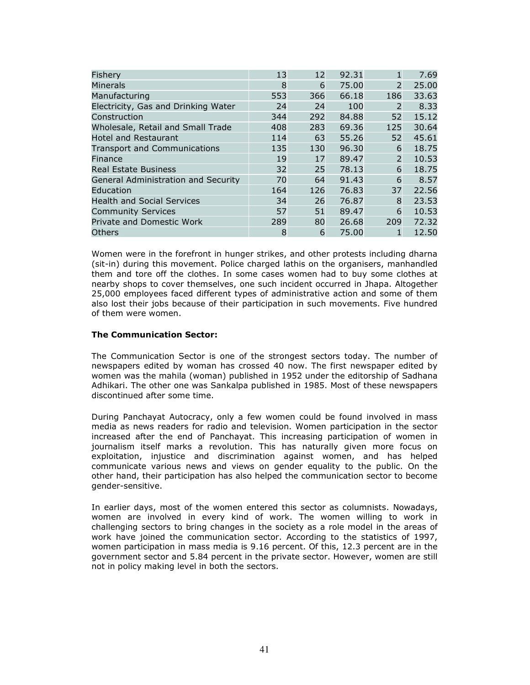| Fishery                                    | 13  | 12  | 92.31 | 1              | 7.69  |
|--------------------------------------------|-----|-----|-------|----------------|-------|
| Minerals                                   | 8   | 6   | 75.00 | $\overline{2}$ | 25.00 |
| Manufacturing                              | 553 | 366 | 66.18 | 186            | 33.63 |
| Electricity, Gas and Drinking Water        | 24  | 24  | 100   | 2              | 8.33  |
| Construction                               | 344 | 292 | 84.88 | 52             | 15.12 |
| Wholesale, Retail and Small Trade          | 408 | 283 | 69.36 | 125            | 30.64 |
| <b>Hotel and Restaurant</b>                | 114 | 63  | 55.26 | 52             | 45.61 |
| <b>Transport and Communications</b>        | 135 | 130 | 96.30 | 6              | 18.75 |
| Finance                                    | 19  | 17  | 89.47 | $\overline{2}$ | 10.53 |
| <b>Real Estate Business</b>                | 32  | 25  | 78.13 | 6              | 18.75 |
| <b>General Administration and Security</b> | 70  | 64  | 91.43 | 6              | 8.57  |
| Education                                  | 164 | 126 | 76.83 | 37             | 22.56 |
| <b>Health and Social Services</b>          | 34  | 26  | 76.87 | 8              | 23.53 |
| <b>Community Services</b>                  | 57  | 51  | 89.47 | 6              | 10.53 |
| Private and Domestic Work                  | 289 | 80  | 26.68 | 209            | 72.32 |
| <b>Others</b>                              | 8   | 6   | 75.00 |                | 12.50 |

Women were in the forefront in hunger strikes, and other protests including dharna (sit-in) during this movement. Police charged lathis on the organisers, manhandled them and tore off the clothes. In some cases women had to buy some clothes at nearby shops to cover themselves, one such incident occurred in Jhapa. Altogether 25,000 employees faced different types of administrative action and some of them also lost their jobs because of their participation in such movements. Five hundred of them were women.

### The Communication Sector:

The Communication Sector is one of the strongest sectors today. The number of newspapers edited by woman has crossed 40 now. The first newspaper edited by women was the mahila (woman) published in 1952 under the editorship of Sadhana Adhikari. The other one was Sankalpa published in 1985. Most of these newspapers discontinued after some time.

During Panchayat Autocracy, only a few women could be found involved in mass media as news readers for radio and television. Women participation in the sector increased after the end of Panchayat. This increasing participation of women in journalism itself marks a revolution. This has naturally given more focus on exploitation, injustice and discrimination against women, and has helped communicate various news and views on gender equality to the public. On the other hand, their participation has also helped the communication sector to become gender-sensitive.

In earlier days, most of the women entered this sector as columnists. Nowadays, women are involved in every kind of work. The women willing to work in challenging sectors to bring changes in the society as a role model in the areas of work have joined the communication sector. According to the statistics of 1997, women participation in mass media is 9.16 percent. Of this, 12.3 percent are in the government sector and 5.84 percent in the private sector. However, women are still not in policy making level in both the sectors.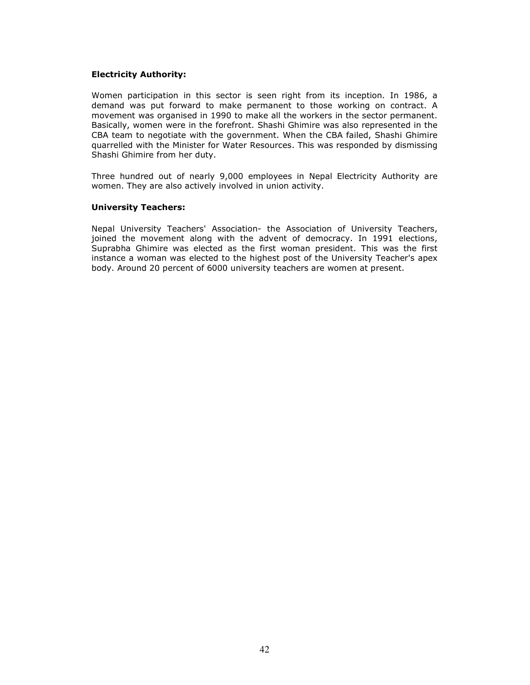#### Electricity Authority:

Women participation in this sector is seen right from its inception. In 1986, a demand was put forward to make permanent to those working on contract. A movement was organised in 1990 to make all the workers in the sector permanent. Basically, women were in the forefront. Shashi Ghimire was also represented in the CBA team to negotiate with the government. When the CBA failed, Shashi Ghimire quarrelled with the Minister for Water Resources. This was responded by dismissing Shashi Ghimire from her duty.

Three hundred out of nearly 9,000 employees in Nepal Electricity Authority are women. They are also actively involved in union activity.

#### University Teachers:

Nepal University Teachers' Association- the Association of University Teachers, joined the movement along with the advent of democracy. In 1991 elections, Suprabha Ghimire was elected as the first woman president. This was the first instance a woman was elected to the highest post of the University Teacher's apex body. Around 20 percent of 6000 university teachers are women at present.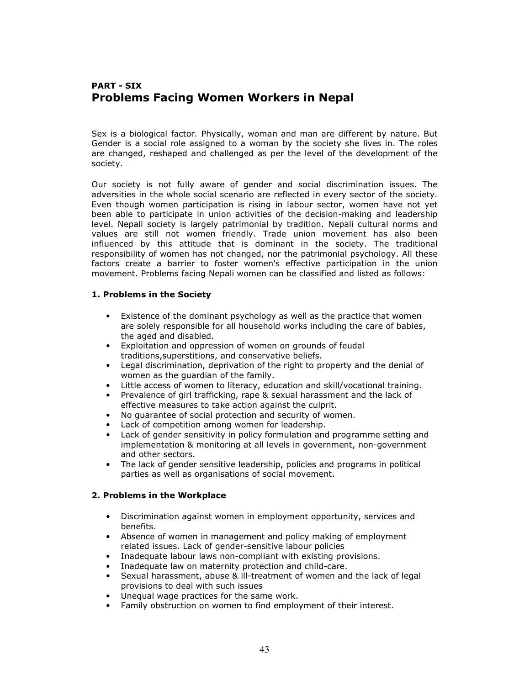# PART - SIX Problems Facing Women Workers in Nepal

Sex is a biological factor. Physically, woman and man are different by nature. But Gender is a social role assigned to a woman by the society she lives in. The roles are changed, reshaped and challenged as per the level of the development of the society.

Our society is not fully aware of gender and social discrimination issues. The adversities in the whole social scenario are reflected in every sector of the society. Even though women participation is rising in labour sector, women have not yet been able to participate in union activities of the decision-making and leadership level. Nepali society is largely patrimonial by tradition. Nepali cultural norms and values are still not women friendly. Trade union movement has also been influenced by this attitude that is dominant in the society. The traditional responsibility of women has not changed, nor the patrimonial psychology. All these factors create a barrier to foster women's effective participation in the union movement. Problems facing Nepali women can be classified and listed as follows:

### 1. Problems in the Society

- Existence of the dominant psychology as well as the practice that women are solely responsible for all household works including the care of babies, the aged and disabled.
- Exploitation and oppression of women on grounds of feudal traditions,superstitions, and conservative beliefs.
- Legal discrimination, deprivation of the right to property and the denial of women as the guardian of the family.
- Little access of women to literacy, education and skill/vocational training.
- Prevalence of girl trafficking, rape & sexual harassment and the lack of effective measures to take action against the culprit.
- No guarantee of social protection and security of women.
- Lack of competition among women for leadership.
- Lack of gender sensitivity in policy formulation and programme setting and implementation & monitoring at all levels in government, non-government and other sectors.
- The lack of gender sensitive leadership, policies and programs in political parties as well as organisations of social movement.

### 2. Problems in the Workplace

- Discrimination against women in employment opportunity, services and benefits.
- Absence of women in management and policy making of employment related issues. Lack of gender-sensitive labour policies
- Inadequate labour laws non-compliant with existing provisions.
- Inadequate law on maternity protection and child-care.
- Sexual harassment, abuse & ill-treatment of women and the lack of legal provisions to deal with such issues
- Unequal wage practices for the same work.
- Family obstruction on women to find employment of their interest.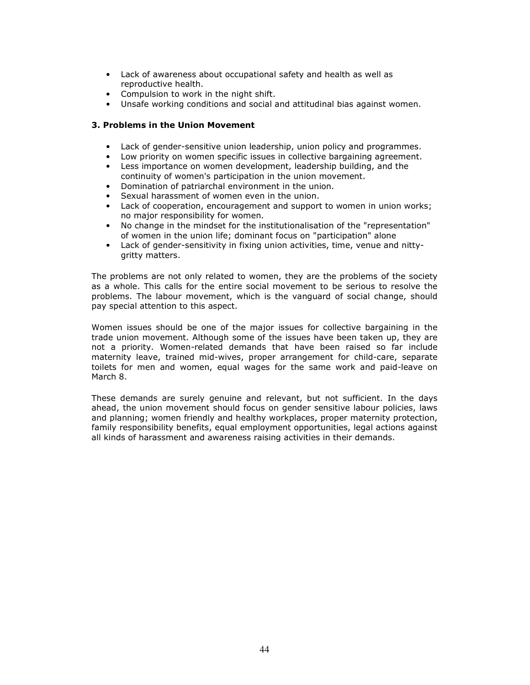- Lack of awareness about occupational safety and health as well as reproductive health.
- Compulsion to work in the night shift.
- Unsafe working conditions and social and attitudinal bias against women.

### 3. Problems in the Union Movement

- Lack of gender-sensitive union leadership, union policy and programmes.
- Low priority on women specific issues in collective bargaining agreement.
- Less importance on women development, leadership building, and the continuity of women's participation in the union movement.
- Domination of patriarchal environment in the union.
- Sexual harassment of women even in the union.
- Lack of cooperation, encouragement and support to women in union works; no major responsibility for women.
- No change in the mindset for the institutionalisation of the "representation" of women in the union life; dominant focus on "participation" alone
- Lack of gender-sensitivity in fixing union activities, time, venue and nittygritty matters.

The problems are not only related to women, they are the problems of the society as a whole. This calls for the entire social movement to be serious to resolve the problems. The labour movement, which is the vanguard of social change, should pay special attention to this aspect.

Women issues should be one of the major issues for collective bargaining in the trade union movement. Although some of the issues have been taken up, they are not a priority. Women-related demands that have been raised so far include maternity leave, trained mid-wives, proper arrangement for child-care, separate toilets for men and women, equal wages for the same work and paid-leave on March 8.

These demands are surely genuine and relevant, but not sufficient. In the days ahead, the union movement should focus on gender sensitive labour policies, laws and planning; women friendly and healthy workplaces, proper maternity protection, family responsibility benefits, equal employment opportunities, legal actions against all kinds of harassment and awareness raising activities in their demands.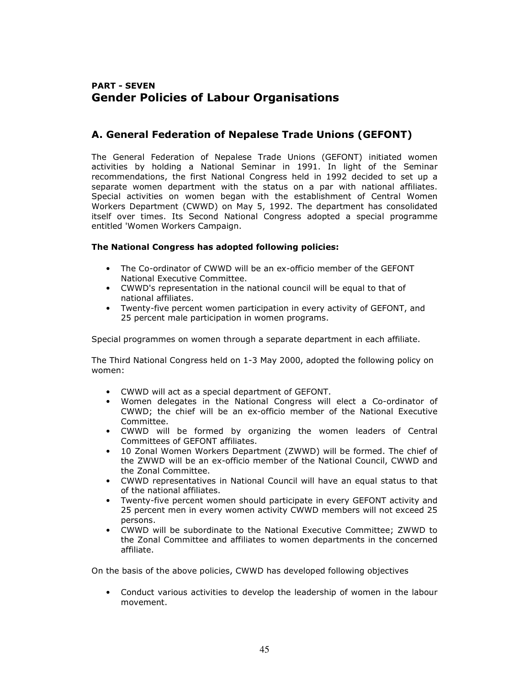# PART - SEVEN Gender Policies of Labour Organisations

# A. General Federation of Nepalese Trade Unions (GEFONT)

The General Federation of Nepalese Trade Unions (GEFONT) initiated women activities by holding a National Seminar in 1991. In light of the Seminar recommendations, the first National Congress held in 1992 decided to set up a separate women department with the status on a par with national affiliates. Special activities on women began with the establishment of Central Women Workers Department (CWWD) on May 5, 1992. The department has consolidated itself over times. Its Second National Congress adopted a special programme entitled 'Women Workers Campaign.

### The National Congress has adopted following policies:

- The Co-ordinator of CWWD will be an ex-officio member of the GEFONT National Executive Committee.
- CWWD's representation in the national council will be equal to that of national affiliates.
- Twenty-five percent women participation in every activity of GEFONT, and 25 percent male participation in women programs.

Special programmes on women through a separate department in each affiliate.

The Third National Congress held on 1-3 May 2000, adopted the following policy on women:

- CWWD will act as a special department of GEFONT.
- Women delegates in the National Congress will elect a Co-ordinator of CWWD; the chief will be an ex-officio member of the National Executive Committee.
- CWWD will be formed by organizing the women leaders of Central Committees of GEFONT affiliates.
- 10 Zonal Women Workers Department (ZWWD) will be formed. The chief of the ZWWD will be an ex-officio member of the National Council, CWWD and the Zonal Committee.
- CWWD representatives in National Council will have an equal status to that of the national affiliates.
- Twenty-five percent women should participate in every GEFONT activity and 25 percent men in every women activity CWWD members will not exceed 25 persons.
- CWWD will be subordinate to the National Executive Committee; ZWWD to the Zonal Committee and affiliates to women departments in the concerned affiliate.

On the basis of the above policies, CWWD has developed following objectives

• Conduct various activities to develop the leadership of women in the labour movement.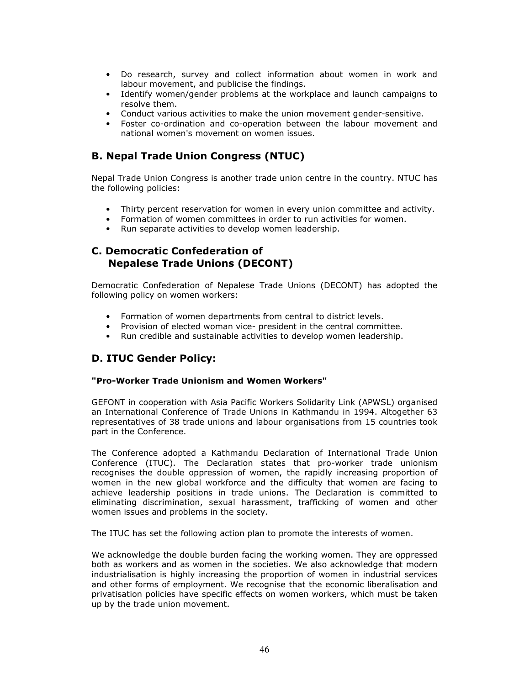- Do research, survey and collect information about women in work and labour movement, and publicise the findings.
- Identify women/gender problems at the workplace and launch campaigns to resolve them.
- Conduct various activities to make the union movement gender-sensitive.
- Foster co-ordination and co-operation between the labour movement and national women's movement on women issues.

## B. Nepal Trade Union Congress (NTUC)

Nepal Trade Union Congress is another trade union centre in the country. NTUC has the following policies:

- Thirty percent reservation for women in every union committee and activity.
- Formation of women committees in order to run activities for women.
- Run separate activities to develop women leadership.

### C. Democratic Confederation of Nepalese Trade Unions (DECONT)

Democratic Confederation of Nepalese Trade Unions (DECONT) has adopted the following policy on women workers:

- Formation of women departments from central to district levels.
- Provision of elected woman vice- president in the central committee.
- Run credible and sustainable activities to develop women leadership.

## D. ITUC Gender Policy:

### "Pro-Worker Trade Unionism and Women Workers"

GEFONT in cooperation with Asia Pacific Workers Solidarity Link (APWSL) organised an International Conference of Trade Unions in Kathmandu in 1994. Altogether 63 representatives of 38 trade unions and labour organisations from 15 countries took part in the Conference.

The Conference adopted a Kathmandu Declaration of International Trade Union Conference (ITUC). The Declaration states that pro-worker trade unionism recognises the double oppression of women, the rapidly increasing proportion of women in the new global workforce and the difficulty that women are facing to achieve leadership positions in trade unions. The Declaration is committed to eliminating discrimination, sexual harassment, trafficking of women and other women issues and problems in the society.

The ITUC has set the following action plan to promote the interests of women.

We acknowledge the double burden facing the working women. They are oppressed both as workers and as women in the societies. We also acknowledge that modern industrialisation is highly increasing the proportion of women in industrial services and other forms of employment. We recognise that the economic liberalisation and privatisation policies have specific effects on women workers, which must be taken up by the trade union movement.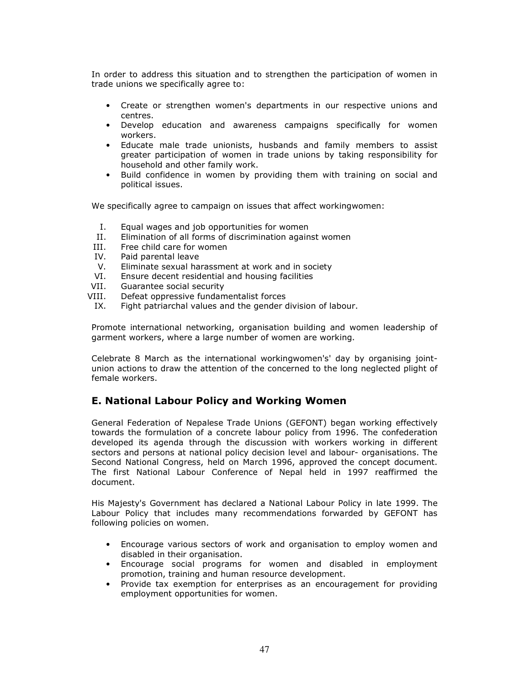In order to address this situation and to strengthen the participation of women in trade unions we specifically agree to:

- Create or strengthen women's departments in our respective unions and centres.
- Develop education and awareness campaigns specifically for women workers.
- Educate male trade unionists, husbands and family members to assist greater participation of women in trade unions by taking responsibility for household and other family work.
- Build confidence in women by providing them with training on social and political issues.

We specifically agree to campaign on issues that affect workingwomen:

- I. Equal wages and job opportunities for women
- II. Elimination of all forms of discrimination against women
- III. Free child care for women
- IV. Paid parental leave
- V. Eliminate sexual harassment at work and in society
- VI. Ensure decent residential and housing facilities
- VII. Guarantee social security
- VIII. Defeat oppressive fundamentalist forces
- IX. Fight patriarchal values and the gender division of labour.

Promote international networking, organisation building and women leadership of garment workers, where a large number of women are working.

Celebrate 8 March as the international workingwomen's' day by organising jointunion actions to draw the attention of the concerned to the long neglected plight of female workers.

### E. National Labour Policy and Working Women

General Federation of Nepalese Trade Unions (GEFONT) began working effectively towards the formulation of a concrete labour policy from 1996. The confederation developed its agenda through the discussion with workers working in different sectors and persons at national policy decision level and labour- organisations. The Second National Congress, held on March 1996, approved the concept document. The first National Labour Conference of Nepal held in 1997 reaffirmed the document.

His Majesty's Government has declared a National Labour Policy in late 1999. The Labour Policy that includes many recommendations forwarded by GEFONT has following policies on women.

- Encourage various sectors of work and organisation to employ women and disabled in their organisation.
- Encourage social programs for women and disabled in employment promotion, training and human resource development.
- Provide tax exemption for enterprises as an encouragement for providing employment opportunities for women.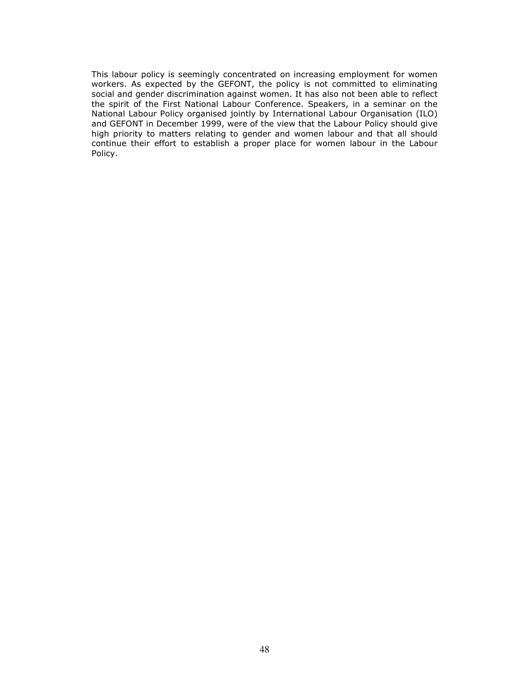This labour policy is seemingly concentrated on increasing employment for women workers. As expected by the GEFONT, the policy is not committed to eliminating social and gender discrimination against women. It has also not been able to reflect the spirit of the First National Labour Conference. Speakers, in a seminar on the National Labour Policy organised jointly by International Labour Organisation (ILO) and GEFONT in December 1999, were of the view that the Labour Policy should give high priority to matters relating to gender and women labour and that all should continue their effort to establish a proper place for women labour in the Labour Policy.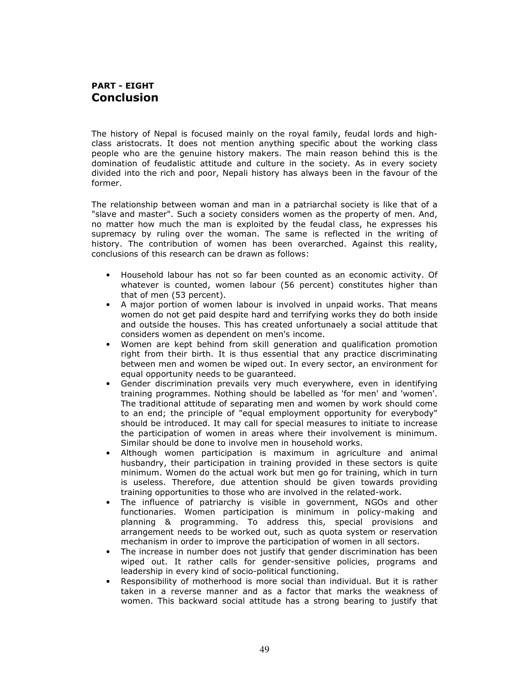### PART - EIGHT **Conclusion**

The history of Nepal is focused mainly on the royal family, feudal lords and highclass aristocrats. It does not mention anything specific about the working class people who are the genuine history makers. The main reason behind this is the domination of feudalistic attitude and culture in the society. As in every society divided into the rich and poor, Nepali history has always been in the favour of the former.

The relationship between woman and man in a patriarchal society is like that of a "slave and master". Such a society considers women as the property of men. And, no matter how much the man is exploited by the feudal class, he expresses his supremacy by ruling over the woman. The same is reflected in the writing of history. The contribution of women has been overarched. Against this reality, conclusions of this research can be drawn as follows:

- Household labour has not so far been counted as an economic activity. Of whatever is counted, women labour (56 percent) constitutes higher than that of men (53 percent).
- A major portion of women labour is involved in unpaid works. That means women do not get paid despite hard and terrifying works they do both inside and outside the houses. This has created unfortunaely a social attitude that considers women as dependent on men's income.
- Women are kept behind from skill generation and qualification promotion right from their birth. It is thus essential that any practice discriminating between men and women be wiped out. In every sector, an environment for equal opportunity needs to be guaranteed.
- Gender discrimination prevails very much everywhere, even in identifying training programmes. Nothing should be labelled as 'for men' and 'women'. The traditional attitude of separating men and women by work should come to an end; the principle of "equal employment opportunity for everybody" should be introduced. It may call for special measures to initiate to increase the participation of women in areas where their involvement is minimum. Similar should be done to involve men in household works.
- Although women participation is maximum in agriculture and animal husbandry, their participation in training provided in these sectors is quite minimum. Women do the actual work but men go for training, which in turn is useless. Therefore, due attention should be given towards providing training opportunities to those who are involved in the related-work.
- The influence of patriarchy is visible in government, NGOs and other functionaries. Women participation is minimum in policy-making and planning & programming. To address this, special provisions and arrangement needs to be worked out, such as quota system or reservation mechanism in order to improve the participation of women in all sectors.
- The increase in number does not justify that gender discrimination has been wiped out. It rather calls for gender-sensitive policies, programs and leadership in every kind of socio-political functioning.
- Responsibility of motherhood is more social than individual. But it is rather taken in a reverse manner and as a factor that marks the weakness of women. This backward social attitude has a strong bearing to justify that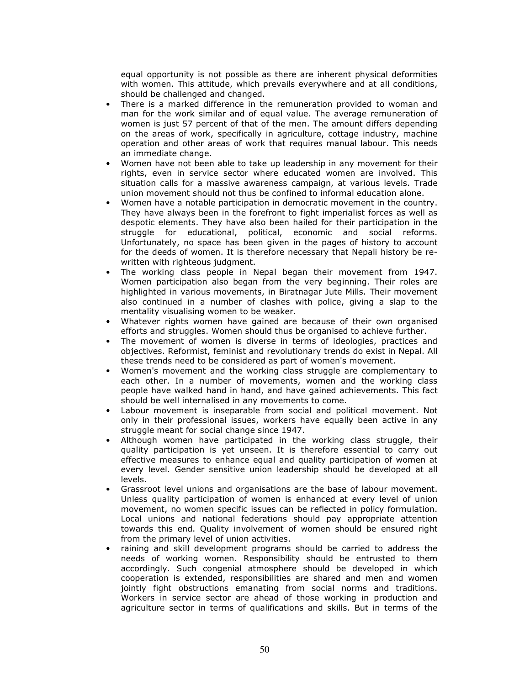equal opportunity is not possible as there are inherent physical deformities with women. This attitude, which prevails everywhere and at all conditions, should be challenged and changed.

- There is a marked difference in the remuneration provided to woman and man for the work similar and of equal value. The average remuneration of women is just 57 percent of that of the men. The amount differs depending on the areas of work, specifically in agriculture, cottage industry, machine operation and other areas of work that requires manual labour. This needs an immediate change.
- Women have not been able to take up leadership in any movement for their rights, even in service sector where educated women are involved. This situation calls for a massive awareness campaign, at various levels. Trade union movement should not thus be confined to informal education alone.
- Women have a notable participation in democratic movement in the country. They have always been in the forefront to fight imperialist forces as well as despotic elements. They have also been hailed for their participation in the struggle for educational, political, economic and social reforms. Unfortunately, no space has been given in the pages of history to account for the deeds of women. It is therefore necessary that Nepali history be rewritten with righteous judgment.
- The working class people in Nepal began their movement from 1947. Women participation also began from the very beginning. Their roles are highlighted in various movements, in Biratnagar Jute Mills. Their movement also continued in a number of clashes with police, giving a slap to the mentality visualising women to be weaker.
- Whatever rights women have gained are because of their own organised efforts and struggles. Women should thus be organised to achieve further.
- The movement of women is diverse in terms of ideologies, practices and objectives. Reformist, feminist and revolutionary trends do exist in Nepal. All these trends need to be considered as part of women's movement.
- Women's movement and the working class struggle are complementary to each other. In a number of movements, women and the working class people have walked hand in hand, and have gained achievements. This fact should be well internalised in any movements to come.
- Labour movement is inseparable from social and political movement. Not only in their professional issues, workers have equally been active in any struggle meant for social change since 1947.
- Although women have participated in the working class struggle, their quality participation is yet unseen. It is therefore essential to carry out effective measures to enhance equal and quality participation of women at every level. Gender sensitive union leadership should be developed at all levels.
- Grassroot level unions and organisations are the base of labour movement. Unless quality participation of women is enhanced at every level of union movement, no women specific issues can be reflected in policy formulation. Local unions and national federations should pay appropriate attention towards this end. Quality involvement of women should be ensured right from the primary level of union activities.
- raining and skill development programs should be carried to address the needs of working women. Responsibility should be entrusted to them accordingly. Such congenial atmosphere should be developed in which cooperation is extended, responsibilities are shared and men and women jointly fight obstructions emanating from social norms and traditions. Workers in service sector are ahead of those working in production and agriculture sector in terms of qualifications and skills. But in terms of the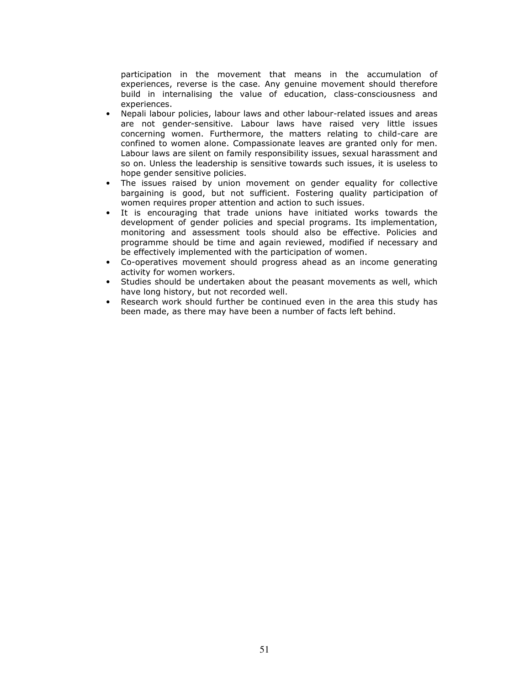participation in the movement that means in the accumulation of experiences, reverse is the case. Any genuine movement should therefore build in internalising the value of education, class-consciousness and experiences.

- Nepali labour policies, labour laws and other labour-related issues and areas are not gender-sensitive. Labour laws have raised very little issues concerning women. Furthermore, the matters relating to child-care are confined to women alone. Compassionate leaves are granted only for men. Labour laws are silent on family responsibility issues, sexual harassment and so on. Unless the leadership is sensitive towards such issues, it is useless to hope gender sensitive policies.
- The issues raised by union movement on gender equality for collective bargaining is good, but not sufficient. Fostering quality participation of women requires proper attention and action to such issues.
- It is encouraging that trade unions have initiated works towards the development of gender policies and special programs. Its implementation, monitoring and assessment tools should also be effective. Policies and programme should be time and again reviewed, modified if necessary and be effectively implemented with the participation of women.
- Co-operatives movement should progress ahead as an income generating activity for women workers.
- Studies should be undertaken about the peasant movements as well, which have long history, but not recorded well.
- Research work should further be continued even in the area this study has been made, as there may have been a number of facts left behind.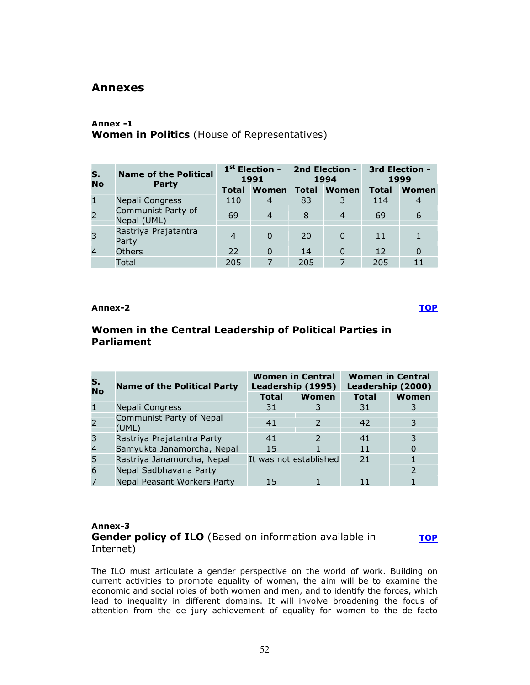### Annexes

### Annex -1 Women in Politics (House of Representatives)

| S.<br><b>No</b> | <b>Name of the Political</b><br>Party | $1st$ Election -<br>1991 |                |              | 2nd Election -<br>1994 | 3rd Election -<br>1999 |       |
|-----------------|---------------------------------------|--------------------------|----------------|--------------|------------------------|------------------------|-------|
|                 |                                       | <b>Total</b>             | Women          | <b>Total</b> | Women                  | <b>Total</b>           | Women |
| $\mathbf{1}$    | Nepali Congress                       | 110                      | $\overline{4}$ | 83           |                        | 114                    | 4     |
| $\overline{2}$  | Communist Party of<br>Nepal (UML)     | 69                       | $\overline{4}$ | 8            | $\overline{4}$         | 69                     | 6     |
| 3               | Rastriya Prajatantra<br>Party         | $\overline{4}$           | 0              | 20           |                        | 11                     |       |
| $\overline{4}$  | <b>Others</b>                         | 22                       | $\Omega$       | 14           | $\Omega$               | 12                     | 0     |
|                 | Total                                 | 205                      | $\overline{7}$ | 205          | 7                      | 205                    | 11    |

Annex-2 <u>TOP</u>

**TOP** 

# Women in the Central Leadership of Political Parties in Parliament

| S.<br>No       | <b>Name of the Political Party</b> | <b>Women in Central</b><br>Leadership (1995) |       | <b>Women in Central</b><br>Leadership (2000) |       |
|----------------|------------------------------------|----------------------------------------------|-------|----------------------------------------------|-------|
|                |                                    | <b>Total</b>                                 | Women | <b>Total</b>                                 | Women |
|                | Nepali Congress                    | 31                                           |       | 31                                           | 3     |
| $\overline{2}$ | Communist Party of Nepal<br>(UML)  | 41                                           |       | 42                                           |       |
| 3              | Rastriya Prajatantra Party         | 41                                           |       | 41                                           |       |
| $\overline{4}$ | Samyukta Janamorcha, Nepal         | 15                                           |       | 11                                           |       |
| 5              | Rastriya Janamorcha, Nepal         | It was not established                       |       | 21                                           |       |
| 6              | Nepal Sadbhavana Party             |                                              |       |                                              |       |
| 7              | Nepal Peasant Workers Party        | 15                                           |       | 11                                           |       |

### Annex-3 Gender policy of ILO (Based on information available in Internet)

The ILO must articulate a gender perspective on the world of work. Building on current activities to promote equality of women, the aim will be to examine the economic and social roles of both women and men, and to identify the forces, which lead to inequality in different domains. It will involve broadening the focus of attention from the de jury achievement of equality for women to the de facto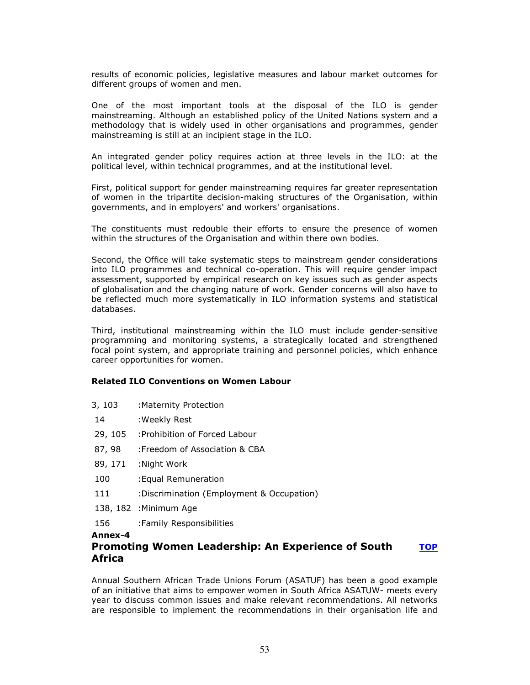results of economic policies, legislative measures and labour market outcomes for different groups of women and men.

One of the most important tools at the disposal of the ILO is gender mainstreaming. Although an established policy of the United Nations system and a methodology that is widely used in other organisations and programmes, gender mainstreaming is still at an incipient stage in the ILO.

An integrated gender policy requires action at three levels in the ILO: at the political level, within technical programmes, and at the institutional level.

First, political support for gender mainstreaming requires far greater representation of women in the tripartite decision-making structures of the Organisation, within governments, and in employers' and workers' organisations.

The constituents must redouble their efforts to ensure the presence of women within the structures of the Organisation and within there own bodies.

Second, the Office will take systematic steps to mainstream gender considerations into ILO programmes and technical co-operation. This will require gender impact assessment, supported by empirical research on key issues such as gender aspects of globalisation and the changing nature of work. Gender concerns will also have to be reflected much more systematically in ILO information systems and statistical databases.

Third, institutional mainstreaming within the ILO must include gender-sensitive programming and monitoring systems, a strategically located and strengthened focal point system, and appropriate training and personnel policies, which enhance career opportunities for women.

#### Related ILO Conventions on Women Labour

- 3, 103 :Maternity Protection
- 14 :Weekly Rest
- 29, 105 :Prohibition of Forced Labour
- 87, 98 : Freedom of Association & CBA
- 89, 171 :Night Work
- 100 :Equal Remuneration
- 111 :Discrimination (Employment & Occupation)
- 138, 182 :Minimum Age
- 156 :Family Responsibilities

#### Annex-4

#### Promoting Women Leadership: An Experience of South Africa **TOP**

Annual Southern African Trade Unions Forum (ASATUF) has been a good example of an initiative that aims to empower women in South Africa ASATUW- meets every year to discuss common issues and make relevant recommendations. All networks are responsible to implement the recommendations in their organisation life and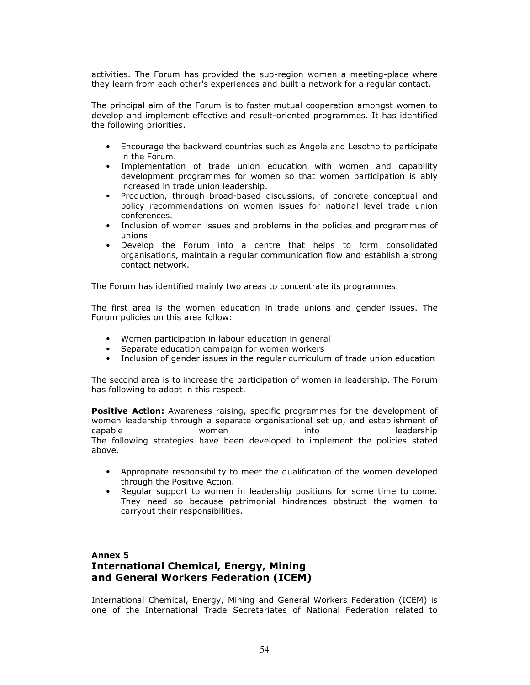activities. The Forum has provided the sub-region women a meeting-place where they learn from each other's experiences and built a network for a regular contact.

The principal aim of the Forum is to foster mutual cooperation amongst women to develop and implement effective and result-oriented programmes. It has identified the following priorities.

- Encourage the backward countries such as Angola and Lesotho to participate in the Forum.
- Implementation of trade union education with women and capability development programmes for women so that women participation is ably increased in trade union leadership.
- Production, through broad-based discussions, of concrete conceptual and policy recommendations on women issues for national level trade union conferences.
- Inclusion of women issues and problems in the policies and programmes of unions
- Develop the Forum into a centre that helps to form consolidated organisations, maintain a regular communication flow and establish a strong contact network.

The Forum has identified mainly two areas to concentrate its programmes.

The first area is the women education in trade unions and gender issues. The Forum policies on this area follow:

- Women participation in labour education in general
- Separate education campaign for women workers
- Inclusion of gender issues in the regular curriculum of trade union education

The second area is to increase the participation of women in leadership. The Forum has following to adopt in this respect.

**Positive Action:** Awareness raising, specific programmes for the development of women leadership through a separate organisational set up, and establishment of capable women into leadership The following strategies have been developed to implement the policies stated above.

- Appropriate responsibility to meet the qualification of the women developed through the Positive Action.
- Regular support to women in leadership positions for some time to come. They need so because patrimonial hindrances obstruct the women to carryout their responsibilities.

### Annex 5 International Chemical, Energy, Mining and General Workers Federation (ICEM)

International Chemical, Energy, Mining and General Workers Federation (ICEM) is one of the International Trade Secretariates of National Federation related to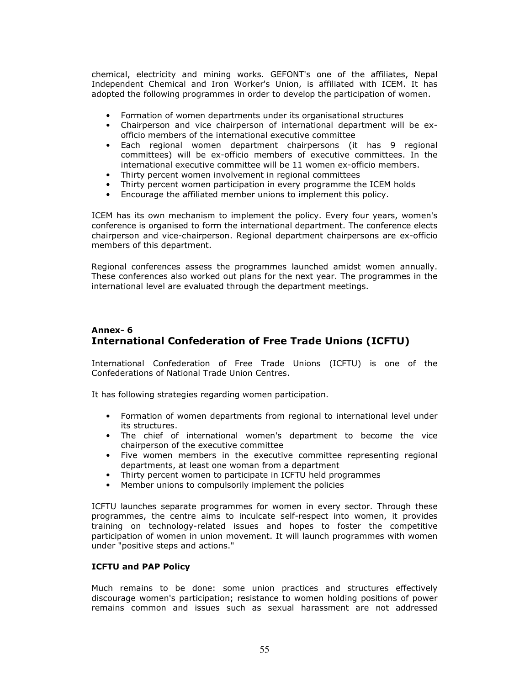chemical, electricity and mining works. GEFONT's one of the affiliates, Nepal Independent Chemical and Iron Worker's Union, is affiliated with ICEM. It has adopted the following programmes in order to develop the participation of women.

- Formation of women departments under its organisational structures
- Chairperson and vice chairperson of international department will be exofficio members of the international executive committee
- Each regional women department chairpersons (it has 9 regional committees) will be ex-officio members of executive committees. In the international executive committee will be 11 women ex-officio members.
- Thirty percent women involvement in regional committees
- Thirty percent women participation in every programme the ICEM holds
- Encourage the affiliated member unions to implement this policy.

ICEM has its own mechanism to implement the policy. Every four years, women's conference is organised to form the international department. The conference elects chairperson and vice-chairperson. Regional department chairpersons are ex-officio members of this department.

Regional conferences assess the programmes launched amidst women annually. These conferences also worked out plans for the next year. The programmes in the international level are evaluated through the department meetings.

### Annex- 6 International Confederation of Free Trade Unions (ICFTU)

International Confederation of Free Trade Unions (ICFTU) is one of the Confederations of National Trade Union Centres.

It has following strategies regarding women participation.

- Formation of women departments from regional to international level under its structures.
- The chief of international women's department to become the vice chairperson of the executive committee
- Five women members in the executive committee representing regional departments, at least one woman from a department
- Thirty percent women to participate in ICFTU held programmes
- Member unions to compulsorily implement the policies

ICFTU launches separate programmes for women in every sector. Through these programmes, the centre aims to inculcate self-respect into women, it provides training on technology-related issues and hopes to foster the competitive participation of women in union movement. It will launch programmes with women under "positive steps and actions."

#### ICFTU and PAP Policy

Much remains to be done: some union practices and structures effectively discourage women's participation; resistance to women holding positions of power remains common and issues such as sexual harassment are not addressed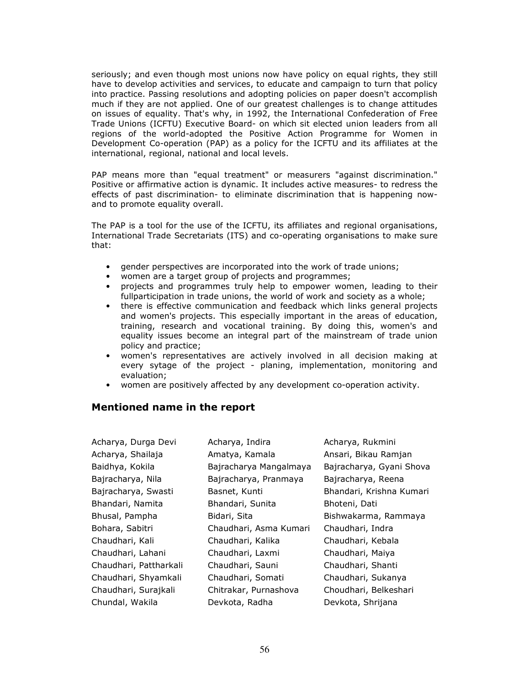seriously; and even though most unions now have policy on equal rights, they still have to develop activities and services, to educate and campaign to turn that policy into practice. Passing resolutions and adopting policies on paper doesn't accomplish much if they are not applied. One of our greatest challenges is to change attitudes on issues of equality. That's why, in 1992, the International Confederation of Free Trade Unions (ICFTU) Executive Board- on which sit elected union leaders from all regions of the world-adopted the Positive Action Programme for Women in Development Co-operation (PAP) as a policy for the ICFTU and its affiliates at the international, regional, national and local levels.

PAP means more than "equal treatment" or measurers "against discrimination." Positive or affirmative action is dynamic. It includes active measures- to redress the effects of past discrimination- to eliminate discrimination that is happening nowand to promote equality overall.

The PAP is a tool for the use of the ICFTU, its affiliates and regional organisations, International Trade Secretariats (ITS) and co-operating organisations to make sure that:

- gender perspectives are incorporated into the work of trade unions;
- women are a target group of projects and programmes;
- projects and programmes truly help to empower women, leading to their fullparticipation in trade unions, the world of work and society as a whole;
- there is effective communication and feedback which links general projects and women's projects. This especially important in the areas of education, training, research and vocational training. By doing this, women's and equality issues become an integral part of the mainstream of trade union policy and practice;
- women's representatives are actively involved in all decision making at every sytage of the project - planing, implementation, monitoring and evaluation;
- women are positively affected by any development co-operation activity.

## Mentioned name in the report

| Acharya, Durga Devi    | Acharya, Indira        | Acharya, Rukmini         |
|------------------------|------------------------|--------------------------|
| Acharya, Shailaja      | Amatya, Kamala         | Ansari, Bikau Ramjan     |
| Baidhya, Kokila        | Bajracharya Mangalmaya | Bajracharya, Gyani Shova |
| Bajracharya, Nila      | Bajracharya, Pranmaya  | Bajracharya, Reena       |
| Bajracharya, Swasti    | Basnet, Kunti          | Bhandari, Krishna Kumari |
| Bhandari, Namita       | Bhandari, Sunita       | Bhoteni, Dati            |
| Bhusal, Pampha         | Bidari, Sita           | Bishwakarma, Rammaya     |
| Bohara, Sabitri        | Chaudhari, Asma Kumari | Chaudhari, Indra         |
| Chaudhari, Kali        | Chaudhari, Kalika      | Chaudhari, Kebala        |
| Chaudhari, Lahani      | Chaudhari, Laxmi       | Chaudhari, Maiya         |
| Chaudhari, Pattharkali | Chaudhari, Sauni       | Chaudhari, Shanti        |
| Chaudhari, Shyamkali   | Chaudhari, Somati      | Chaudhari, Sukanya       |
| Chaudhari, Surajkali   | Chitrakar, Purnashova  | Choudhari, Belkeshari    |
| Chundal, Wakila        | Devkota, Radha         | Devkota, Shrijana        |
|                        |                        |                          |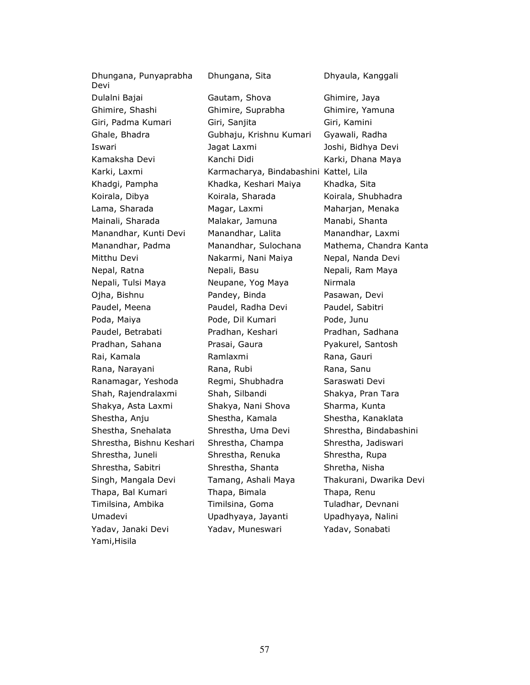Dhungana, Punyaprabha Devi Dulalni Bajai Gautam, Shova Ghimire, Jaya Ghimire, Shashi Ghimire, Suprabha Ghimire, Yamuna Giri, Padma Kumari Giri, Sanjita Giri, Kamini Ghale, Bhadra Gubhaju, Krishnu Kumari Gyawali, Radha Iswari Jagat Laxmi Joshi, Bidhya Devi Kamaksha Devi Kanchi Didi Karki, Dhana Maya Karki, Laxmi Karmacharya, Bindabashini Kattel, Lila Khadgi, Pampha Khadka, Keshari Maiya Khadka, Sita Koirala, Dibya **Koirala, Sharada** Koirala, Shubhadra Lama, Sharada **Magar, Laxmi** Maharjan, Menaka Mainali, Sharada Malakar, Jamuna Manabi, Shanta Manandhar, Kunti Devi Manandhar, Lalita Manandhar, Laxmi Mitthu Devi Nakarmi, Nani Maiya Nepal, Nanda Devi Nepal, Ratna **Nepali, Basu** Nepali, Nepali, Ram Maya Nepali, Tulsi Maya **Neupane**, Yog Maya Nirmala Ojha, Bishnu Pandey, Binda Pasawan, Devi Paudel, Meena **Paudel, Radha Devi** Paudel, Sabitri Poda, Maiya **Pode, Dil Kumari** Pode, Junu Paudel, Betrabati Pradhan, Keshari Pradhan, Sadhana Pradhan, Sahana **Prasai, Gaura** Pyakurel, Santosh Rai, Kamala **Ramakat Ramlaxmi** Rana, Gauri Rana, Gauri Rana, Narayani **Rana, Rubi** Rana, Rana, Sanu Ranamagar, Yeshoda Regmi, Shubhadra Saraswati Devi Shah, Rajendralaxmi Shah, Silbandi Shakya, Pran Tara Shakya, Asta Laxmi Shakya, Nani Shova Sharma, Kunta Shestha, Anju Shestha, Kamala Shestha, Kanaklata Shestha, Snehalata Shrestha, Uma Devi Shrestha, Bindabashini Shrestha, Bishnu Keshari Shrestha, Champa Shrestha, Jadiswari Shrestha, Juneli Shrestha, Renuka Shrestha, Rupa Shrestha, Sabitri Shrestha, Shanta Shretha, Nisha Thapa, Bal Kumari Thapa, Bimala Thapa, Renu Timilsina, Ambika Timilsina, Goma Tuladhar, Devnani Umadevi Upadhyaya, Jayanti Upadhyaya, Nalini Yadav, Janaki Devi Yadav, Muneswari Yadav, Sonabati Yami,Hisila

Dhungana, Sita Dhyaula, Kanggali

Manandhar, Padma Manandhar, Sulochana Mathema, Chandra Kanta Singh, Mangala Devi Tamang, Ashali Maya Thakurani, Dwarika Devi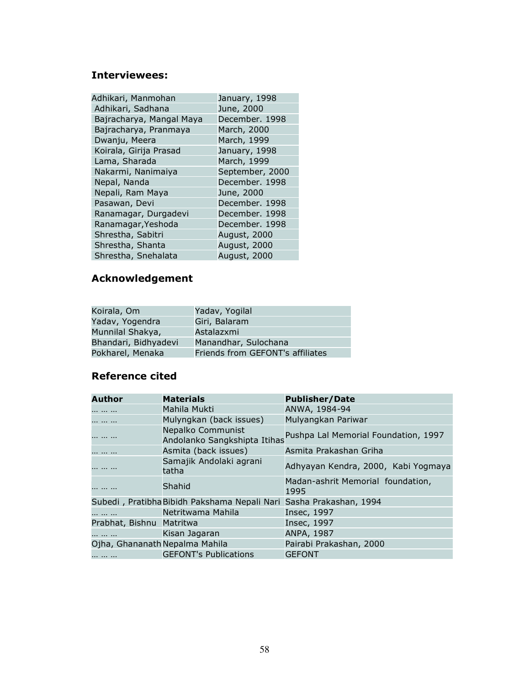# Interviewees:

| Adhikari, Manmohan       | January, 1998   |
|--------------------------|-----------------|
| Adhikari, Sadhana        | June, 2000      |
| Bajracharya, Mangal Maya | December. 1998  |
| Bajracharya, Pranmaya    | March, 2000     |
| Dwanju, Meera            | March, 1999     |
| Koirala, Girija Prasad   | January, 1998   |
| Lama, Sharada            | March, 1999     |
| Nakarmi, Nanimaiya       | September, 2000 |
| Nepal, Nanda             | December. 1998  |
| Nepali, Ram Maya         | June, 2000      |
| Pasawan, Devi            | December. 1998  |
| Ranamagar, Durgadevi     | December. 1998  |
| Ranamagar, Yeshoda       | December. 1998  |
| Shrestha, Sabitri        | August, 2000    |
| Shrestha, Shanta         | August, 2000    |
| Shrestha, Snehalata      | August, 2000    |

### Acknowledgement

| Koirala, Om          | Yadav, Yogilal                   |
|----------------------|----------------------------------|
| Yadav, Yogendra      | Giri, Balaram                    |
| Munnilal Shakya,     | Astalazxmi                       |
| Bhandari, Bidhyadevi | Manandhar, Sulochana             |
| Pokharel, Menaka     | Friends from GEFONT's affiliates |

# Reference cited

| Author                         | <b>Materials</b>                                  | <b>Publisher/Date</b>                     |
|--------------------------------|---------------------------------------------------|-------------------------------------------|
|                                | Mahila Mukti                                      | ANWA, 1984-94                             |
| .                              | Mulyngkan (back issues)                           | Mulyangkan Pariwar                        |
|                                | Nepalko Communist<br>Andolanko Sangkshipta Itihas | Pushpa Lal Memorial Foundation, 1997      |
|                                | Asmita (back issues)                              | Asmita Prakashan Griha                    |
|                                | Samajik Andolaki agrani<br>tatha                  | Adhyayan Kendra, 2000, Kabi Yogmaya       |
| .                              | Shahid                                            | Madan-ashrit Memorial foundation,<br>1995 |
|                                | Subedi, Pratibha Bibidh Pakshama Nepali Nari      | Sasha Prakashan, 1994                     |
|                                | Netritwama Mahila                                 | Insec, 1997                               |
| Prabhat, Bishnu Matritwa       |                                                   | Insec, 1997                               |
|                                | Kisan Jagaran                                     | ANPA, 1987                                |
| Ojha, Ghananath Nepalma Mahila |                                                   | Pairabi Prakashan, 2000                   |
|                                | <b>GEFONT's Publications</b>                      | <b>GEFONT</b>                             |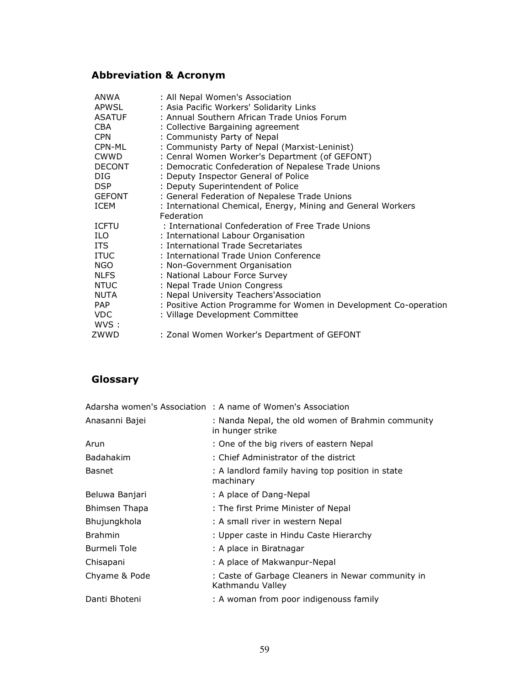# Abbreviation & Acronym

| ANWA          | : All Nepal Women's Association                                   |
|---------------|-------------------------------------------------------------------|
| <b>APWSL</b>  | : Asia Pacific Workers' Solidarity Links                          |
| <b>ASATUF</b> | : Annual Southern African Trade Unios Forum                       |
| <b>CBA</b>    | : Collective Bargaining agreement                                 |
| <b>CPN</b>    | : Communisty Party of Nepal                                       |
| CPN-ML        | : Communisty Party of Nepal (Marxist-Leninist)                    |
| <b>CWWD</b>   | : Cenral Women Worker's Department (of GEFONT)                    |
| <b>DECONT</b> | : Democratic Confederation of Nepalese Trade Unions               |
| DIG.          | : Deputy Inspector General of Police                              |
| DSP           | : Deputy Superintendent of Police                                 |
| <b>GEFONT</b> | : General Federation of Nepalese Trade Unions                     |
| ICEM          | : International Chemical, Energy, Mining and General Workers      |
|               | Federation                                                        |
| <b>ICFTU</b>  | : International Confederation of Free Trade Unions                |
| ILO.          | : International Labour Organisation                               |
| <b>ITS</b>    | : International Trade Secretariates                               |
| <b>ITUC</b>   | : International Trade Union Conference                            |
| <b>NGO</b>    | : Non-Government Organisation                                     |
| <b>NLFS</b>   | : National Labour Force Survey                                    |
| <b>NTUC</b>   | : Nepal Trade Union Congress                                      |
| NUTA          | : Nepal University Teachers'Association                           |
| PAP.          | : Positive Action Programme for Women in Development Co-operation |
| VDC.          | : Village Development Committee                                   |
| WVS :         |                                                                   |
| ZWWD          | : Zonal Women Worker's Department of GEFONT                       |
|               |                                                                   |

# Glossary

|                      | Adarsha women's Association : A name of Women's Association           |
|----------------------|-----------------------------------------------------------------------|
| Anasanni Bajei       | : Nanda Nepal, the old women of Brahmin community<br>in hunger strike |
| Arun                 | : One of the big rivers of eastern Nepal                              |
| <b>Badahakim</b>     | : Chief Administrator of the district                                 |
| Basnet               | : A landlord family having top position in state<br>machinary         |
| Beluwa Banjari       | : A place of Dang-Nepal                                               |
| <b>Bhimsen Thapa</b> | : The first Prime Minister of Nepal                                   |
| Bhujungkhola         | : A small river in western Nepal                                      |
| <b>Brahmin</b>       | : Upper caste in Hindu Caste Hierarchy                                |
| Burmeli Tole         | : A place in Biratnagar                                               |
| Chisapani            | : A place of Makwanpur-Nepal                                          |
| Chyame & Pode        | : Caste of Garbage Cleaners in Newar community in<br>Kathmandu Valley |
| Danti Bhoteni        | : A woman from poor indigenouss family                                |
|                      |                                                                       |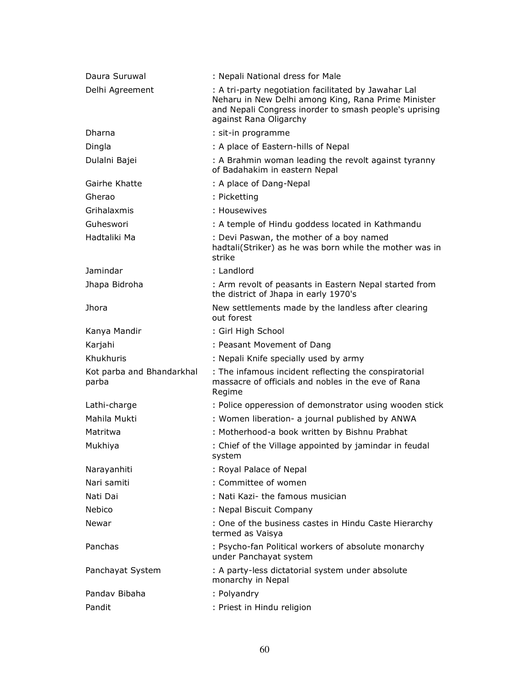| Daura Suruwal                      | : Nepali National dress for Male                                                                                                                                                                |
|------------------------------------|-------------------------------------------------------------------------------------------------------------------------------------------------------------------------------------------------|
| Delhi Agreement                    | : A tri-party negotiation facilitated by Jawahar Lal<br>Neharu in New Delhi among King, Rana Prime Minister<br>and Nepali Congress inorder to smash people's uprising<br>against Rana Oligarchy |
| Dharna                             | : sit-in programme                                                                                                                                                                              |
| Dingla                             | : A place of Eastern-hills of Nepal                                                                                                                                                             |
| Dulalni Bajei                      | : A Brahmin woman leading the revolt against tyranny<br>of Badahakim in eastern Nepal                                                                                                           |
| Gairhe Khatte                      | : A place of Dang-Nepal                                                                                                                                                                         |
| Gherao                             | : Picketting                                                                                                                                                                                    |
| Grihalaxmis                        | : Housewives                                                                                                                                                                                    |
| Guheswori                          | : A temple of Hindu goddess located in Kathmandu                                                                                                                                                |
| Hadtaliki Ma                       | : Devi Paswan, the mother of a boy named<br>hadtali(Striker) as he was born while the mother was in<br>strike                                                                                   |
| Jamindar                           | : Landlord                                                                                                                                                                                      |
| Jhapa Bidroha                      | : Arm revolt of peasants in Eastern Nepal started from<br>the district of Jhapa in early 1970's                                                                                                 |
| <b>Jhora</b>                       | New settlements made by the landless after clearing<br>out forest                                                                                                                               |
| Kanya Mandir                       | : Girl High School                                                                                                                                                                              |
| Karjahi                            | : Peasant Movement of Dang                                                                                                                                                                      |
| Khukhuris                          | : Nepali Knife specially used by army                                                                                                                                                           |
| Kot parba and Bhandarkhal<br>parba | : The infamous incident reflecting the conspiratorial<br>massacre of officials and nobles in the eve of Rana<br>Regime                                                                          |
| Lathi-charge                       | : Police opperession of demonstrator using wooden stick                                                                                                                                         |
| Mahila Mukti                       | : Women liberation- a journal published by ANWA                                                                                                                                                 |
| Matritwa                           | : Motherhood-a book written by Bishnu Prabhat                                                                                                                                                   |
| Mukhiya                            | : Chief of the Village appointed by jamindar in feudal<br>system                                                                                                                                |
| Narayanhiti                        | : Royal Palace of Nepal                                                                                                                                                                         |
| Nari samiti                        | : Committee of women                                                                                                                                                                            |
| Nati Dai                           | : Nati Kazi- the famous musician                                                                                                                                                                |
| Nebico                             | : Nepal Biscuit Company                                                                                                                                                                         |
| Newar                              | : One of the business castes in Hindu Caste Hierarchy<br>termed as Vaisya                                                                                                                       |
| Panchas                            | : Psycho-fan Political workers of absolute monarchy<br>under Panchayat system                                                                                                                   |
| Panchayat System                   | : A party-less dictatorial system under absolute<br>monarchy in Nepal                                                                                                                           |
| Pandav Bibaha                      | : Polyandry                                                                                                                                                                                     |
| Pandit                             | : Priest in Hindu religion                                                                                                                                                                      |